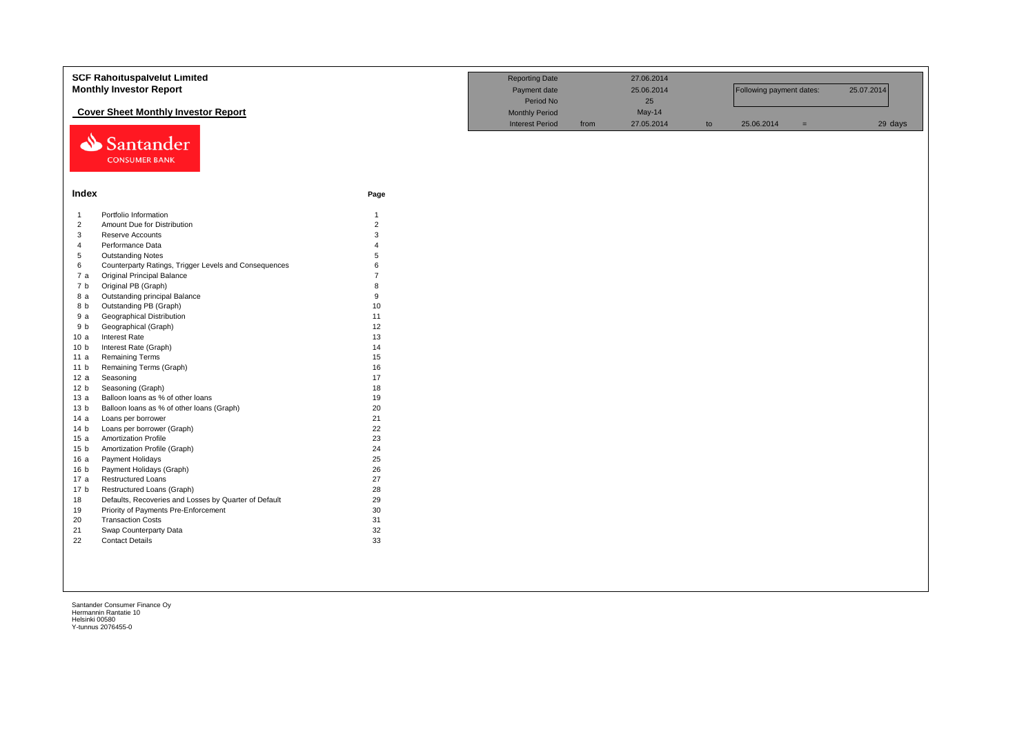|                 | <b>SCF Rahoituspalvelut Limited</b>                     |                                  | <b>Reporting Date</b>  |      | 27.06.2014 |    |                          |     |            |
|-----------------|---------------------------------------------------------|----------------------------------|------------------------|------|------------|----|--------------------------|-----|------------|
|                 | <b>Monthly Investor Report</b>                          |                                  | Payment date           |      | 25.06.2014 |    | Following payment dates: |     | 25.07.2014 |
|                 |                                                         |                                  | Period No              |      | 25         |    |                          |     |            |
|                 | <b>Cover Sheet Monthly Investor Report</b>              |                                  | <b>Monthly Period</b>  |      | May-14     |    |                          |     |            |
|                 |                                                         |                                  | <b>Interest Period</b> | from | 27.05.2014 | to | 25.06.2014               | $=$ | 29 days    |
|                 | Santander                                               |                                  |                        |      |            |    |                          |     |            |
|                 |                                                         |                                  |                        |      |            |    |                          |     |            |
|                 | <b>CONSUMER BANK</b>                                    |                                  |                        |      |            |    |                          |     |            |
|                 |                                                         |                                  |                        |      |            |    |                          |     |            |
|                 |                                                         |                                  |                        |      |            |    |                          |     |            |
| Index           |                                                         | Page                             |                        |      |            |    |                          |     |            |
| $\overline{1}$  | Portfolio Information                                   | $\mathbf{1}$                     |                        |      |            |    |                          |     |            |
| $\overline{2}$  | Amount Due for Distribution                             | $\overline{2}$                   |                        |      |            |    |                          |     |            |
| 3               | <b>Reserve Accounts</b>                                 | 3                                |                        |      |            |    |                          |     |            |
| $\overline{4}$  | Performance Data                                        | $\overline{4}$                   |                        |      |            |    |                          |     |            |
| 5               | <b>Outstanding Notes</b>                                | 5                                |                        |      |            |    |                          |     |            |
| 6               | Counterparty Ratings, Trigger Levels and Consequences   | 6<br>$\overline{7}$              |                        |      |            |    |                          |     |            |
| 7a              | Original Principal Balance                              |                                  |                        |      |            |    |                          |     |            |
| 7 b             | Original PB (Graph)                                     | $\mathsf{R}$<br>$\boldsymbol{9}$ |                        |      |            |    |                          |     |            |
| 8 a<br>8 b      | Outstanding principal Balance<br>Outstanding PB (Graph) | 10                               |                        |      |            |    |                          |     |            |
| 9a              | <b>Geographical Distribution</b>                        | 11                               |                        |      |            |    |                          |     |            |
| 9 b             | Geographical (Graph)                                    | 12                               |                        |      |            |    |                          |     |            |
| 10a             | <b>Interest Rate</b>                                    | 13                               |                        |      |            |    |                          |     |            |
| 10 <sub>b</sub> | Interest Rate (Graph)                                   | 14                               |                        |      |            |    |                          |     |            |
| 11 a            | <b>Remaining Terms</b>                                  | 15                               |                        |      |            |    |                          |     |            |
| 11 <sub>b</sub> | Remaining Terms (Graph)                                 | 16                               |                        |      |            |    |                          |     |            |
| 12a             | Seasoning                                               | 17                               |                        |      |            |    |                          |     |            |
| 12 <sub>b</sub> | Seasoning (Graph)                                       | 18                               |                        |      |            |    |                          |     |            |
| 13a             | Balloon loans as % of other loans                       | 19                               |                        |      |            |    |                          |     |            |
| 13 <sub>b</sub> | Balloon loans as % of other loans (Graph)               | 20                               |                        |      |            |    |                          |     |            |
| 14 a            | Loans per borrower                                      | 21                               |                        |      |            |    |                          |     |            |
| 14 <sub>b</sub> | Loans per borrower (Graph)                              | 22                               |                        |      |            |    |                          |     |            |
| 15a             | <b>Amortization Profile</b>                             | 23                               |                        |      |            |    |                          |     |            |
| 15 <sub>b</sub> | Amortization Profile (Graph)                            | 24                               |                        |      |            |    |                          |     |            |
| 16 a            | Payment Holidays<br>Payment Holidays (Graph)            | 25                               |                        |      |            |    |                          |     |            |
| 16 b<br>17 a    | <b>Restructured Loans</b>                               | 26<br>27                         |                        |      |            |    |                          |     |            |
| 17 <sub>b</sub> | Restructured Loans (Graph)                              | 28                               |                        |      |            |    |                          |     |            |
| 18              | Defaults, Recoveries and Losses by Quarter of Default   | 29                               |                        |      |            |    |                          |     |            |
| 19              | Priority of Payments Pre-Enforcement                    | 30                               |                        |      |            |    |                          |     |            |
| 20              | <b>Transaction Costs</b>                                | 31                               |                        |      |            |    |                          |     |            |
| 21              | Swap Counterparty Data                                  | 32                               |                        |      |            |    |                          |     |            |
| 22              | <b>Contact Details</b>                                  | 33                               |                        |      |            |    |                          |     |            |
|                 |                                                         |                                  |                        |      |            |    |                          |     |            |
|                 |                                                         |                                  |                        |      |            |    |                          |     |            |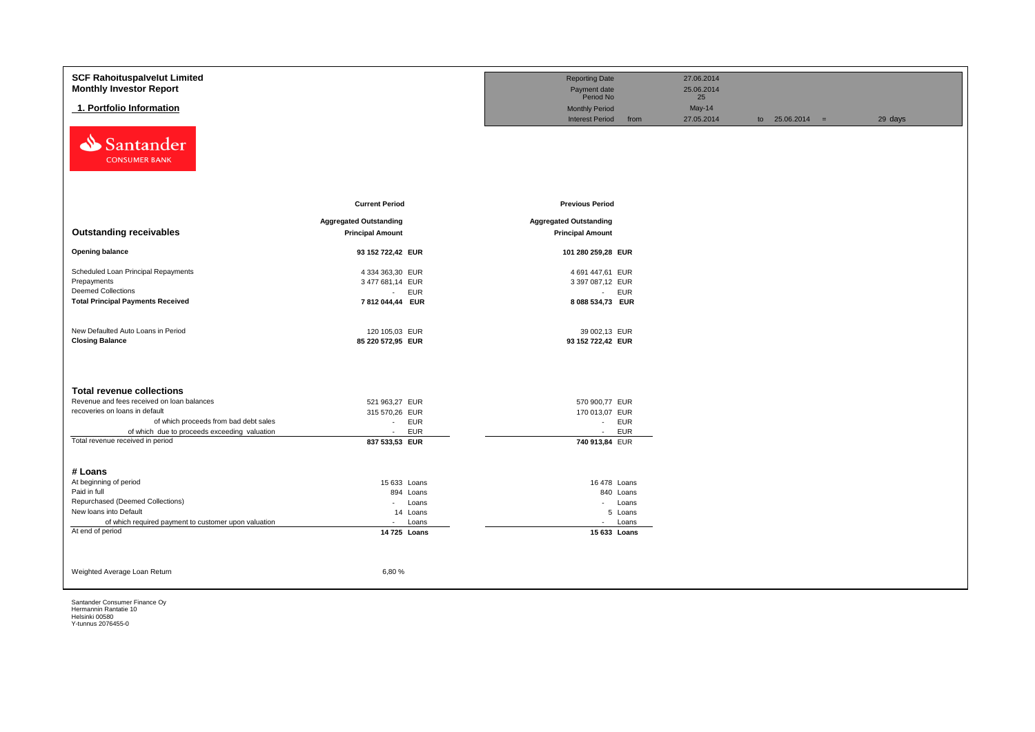| <b>SCF Rahoituspalvelut Limited</b>                  |                               | <b>Reporting Date</b>          | 27.06.2014 |                   |         |
|------------------------------------------------------|-------------------------------|--------------------------------|------------|-------------------|---------|
| <b>Monthly Investor Report</b>                       |                               | Payment date                   | 25.06.2014 |                   |         |
|                                                      |                               | Period No                      | 25         |                   |         |
| 1. Portfolio Information                             |                               | <b>Monthly Period</b>          | May-14     |                   |         |
|                                                      |                               | <b>Interest Period</b><br>from | 27.05.2014 | to $25.06.2014 =$ | 29 days |
| Santander<br>⇘<br><b>CONSUMER BANK</b>               |                               |                                |            |                   |         |
|                                                      | <b>Current Period</b>         | <b>Previous Period</b>         |            |                   |         |
|                                                      | <b>Aggregated Outstanding</b> | <b>Aggregated Outstanding</b>  |            |                   |         |
| <b>Outstanding receivables</b>                       | <b>Principal Amount</b>       | <b>Principal Amount</b>        |            |                   |         |
|                                                      |                               |                                |            |                   |         |
| <b>Opening balance</b>                               | 93 152 722,42 EUR             | 101 280 259,28 EUR             |            |                   |         |
| Scheduled Loan Principal Repayments                  | 4 334 363,30 EUR              | 4 691 447,61 EUR               |            |                   |         |
| Prepayments                                          | 3 477 681,14 EUR              | 3 397 087,12 EUR               |            |                   |         |
| <b>Deemed Collections</b>                            | EUR<br>$\sim$                 | - EUR                          |            |                   |         |
| <b>Total Principal Payments Received</b>             | 7812044,44 EUR                | 8 088 534,73 EUR               |            |                   |         |
|                                                      |                               |                                |            |                   |         |
|                                                      |                               |                                |            |                   |         |
| New Defaulted Auto Loans in Period                   | 120 105,03 EUR                | 39 002,13 EUR                  |            |                   |         |
| <b>Closing Balance</b>                               | 85 220 572,95 EUR             | 93 152 722,42 EUR              |            |                   |         |
|                                                      |                               |                                |            |                   |         |
| <b>Total revenue collections</b>                     |                               |                                |            |                   |         |
| Revenue and fees received on loan balances           | 521 963,27 EUR                | 570 900,77 EUR                 |            |                   |         |
| recoveries on loans in default                       | 315 570,26 EUR                | 170 013,07 EUR                 |            |                   |         |
| of which proceeds from bad debt sales                | <b>EUR</b><br>$\sim$          | - EUR                          |            |                   |         |
| of which due to proceeds exceeding valuation         | <b>EUR</b><br>$\sim$          | <b>EUR</b><br>$\sim 100$       |            |                   |         |
| Total revenue received in period                     | 837 533,53 EUR                | 740 913,84 EUR                 |            |                   |         |
|                                                      |                               |                                |            |                   |         |
|                                                      |                               |                                |            |                   |         |
| # Loans<br>At beginning of period                    |                               |                                |            |                   |         |
| Paid in full                                         | 15 633 Loans                  | 16 478 Loans                   |            |                   |         |
| Repurchased (Deemed Collections)                     | 894 Loans<br>Loans<br>$\sim$  | 840 Loans<br>- Loans           |            |                   |         |
| New loans into Default                               | 14 Loans                      | 5 Loans                        |            |                   |         |
| of which required payment to customer upon valuation | Loans<br>$\blacksquare$       | - Loans                        |            |                   |         |
| At end of period                                     | 14 725 Loans                  | 15 633 Loans                   |            |                   |         |
|                                                      |                               |                                |            |                   |         |
|                                                      |                               |                                |            |                   |         |
|                                                      |                               |                                |            |                   |         |
| Weighted Average Loan Return                         | 6,80%                         |                                |            |                   |         |
|                                                      |                               |                                |            |                   |         |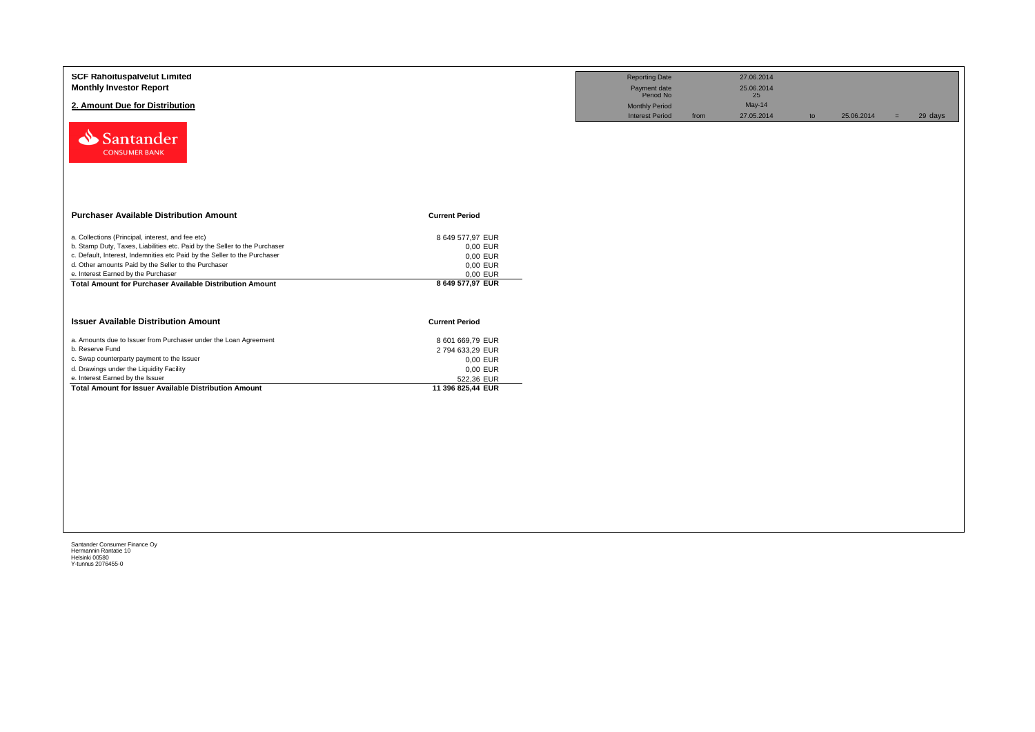| <b>SCF Rahoituspalvelut Limited</b><br><b>Monthly Investor Report</b><br>2. Amount Due for Distribution<br>Santander<br><b>CONSUMER BANK</b>                                                                                                                                                                                                                                   |                                                                                                | <b>Reporting Date</b><br>Payment date<br>Period No<br><b>Monthly Period</b><br><b>Interest Period</b> | 27.06.2014<br>25.06.2014<br>25<br>May-14<br>27.05.2014<br>from | to | 25.06.2014 | 29 days<br>$=$ |
|--------------------------------------------------------------------------------------------------------------------------------------------------------------------------------------------------------------------------------------------------------------------------------------------------------------------------------------------------------------------------------|------------------------------------------------------------------------------------------------|-------------------------------------------------------------------------------------------------------|----------------------------------------------------------------|----|------------|----------------|
| <b>Purchaser Available Distribution Amount</b>                                                                                                                                                                                                                                                                                                                                 | <b>Current Period</b>                                                                          |                                                                                                       |                                                                |    |            |                |
| a. Collections (Principal, interest, and fee etc)<br>b. Stamp Duty, Taxes, Liabilities etc. Paid by the Seller to the Purchaser<br>c. Default, Interest, Indemnities etc Paid by the Seller to the Purchaser<br>d. Other amounts Paid by the Seller to the Purchaser<br>e. Interest Earned by the Purchaser<br><b>Total Amount for Purchaser Available Distribution Amount</b> | 8 649 577,97 EUR<br>0,00 EUR<br>0,00 EUR<br>0,00 EUR<br>0,00 EUR<br>8 649 577,97 EUR           |                                                                                                       |                                                                |    |            |                |
| <b>Issuer Available Distribution Amount</b>                                                                                                                                                                                                                                                                                                                                    | <b>Current Period</b>                                                                          |                                                                                                       |                                                                |    |            |                |
| a. Amounts due to Issuer from Purchaser under the Loan Agreement<br>b. Reserve Fund<br>c. Swap counterparty payment to the Issuer<br>d. Drawings under the Liquidity Facility<br>e. Interest Earned by the Issuer<br><b>Total Amount for Issuer Available Distribution Amount</b>                                                                                              | 8 601 669,79 EUR<br>2794 633,29 EUR<br>0,00 EUR<br>0,00 EUR<br>522,36 EUR<br>11 396 825,44 EUR |                                                                                                       |                                                                |    |            |                |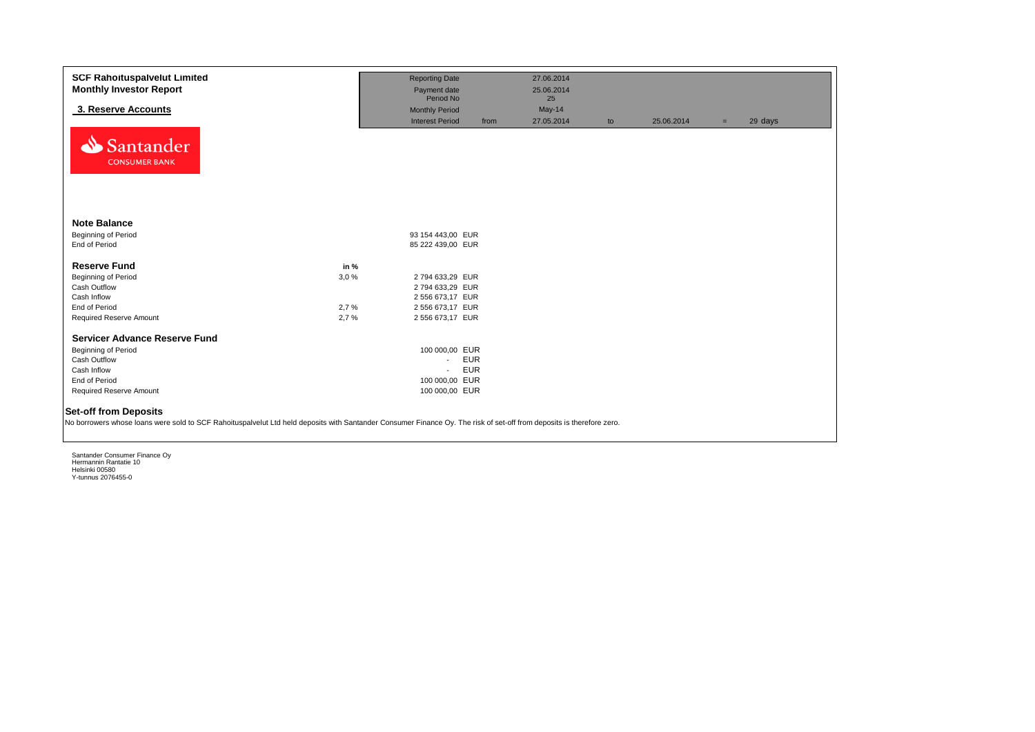| <b>SCF Rahoituspalvelut Limited</b><br><b>Monthly Investor Report</b>                                                                                                                                 |      | <b>Reporting Date</b><br>Payment date  |            | 27.06.2014<br>25.06.2014 |    |            |     |         |
|-------------------------------------------------------------------------------------------------------------------------------------------------------------------------------------------------------|------|----------------------------------------|------------|--------------------------|----|------------|-----|---------|
|                                                                                                                                                                                                       |      | Period No                              |            | 25                       |    |            |     |         |
| 3. Reserve Accounts                                                                                                                                                                                   |      | <b>Monthly Period</b>                  |            | May-14                   |    |            |     |         |
|                                                                                                                                                                                                       |      | <b>Interest Period</b>                 | from       | 27.05.2014               | to | 25.06.2014 | $=$ | 29 days |
| Santander<br><b>CONSUMER BANK</b>                                                                                                                                                                     |      |                                        |            |                          |    |            |     |         |
| <b>Note Balance</b>                                                                                                                                                                                   |      |                                        |            |                          |    |            |     |         |
| <b>Beginning of Period</b><br>End of Period                                                                                                                                                           |      | 93 154 443,00 EUR<br>85 222 439,00 EUR |            |                          |    |            |     |         |
|                                                                                                                                                                                                       |      |                                        |            |                          |    |            |     |         |
| <b>Reserve Fund</b>                                                                                                                                                                                   | in % |                                        |            |                          |    |            |     |         |
| <b>Beginning of Period</b>                                                                                                                                                                            | 3.0% | 2794 633,29 EUR                        |            |                          |    |            |     |         |
| Cash Outflow                                                                                                                                                                                          |      | 2794 633,29 EUR                        |            |                          |    |            |     |         |
| Cash Inflow                                                                                                                                                                                           |      | 2 556 673,17 EUR                       |            |                          |    |            |     |         |
| End of Period                                                                                                                                                                                         | 2,7% | 2 556 673,17 EUR                       |            |                          |    |            |     |         |
| Required Reserve Amount                                                                                                                                                                               | 2.7% | 2 556 673,17 EUR                       |            |                          |    |            |     |         |
|                                                                                                                                                                                                       |      |                                        |            |                          |    |            |     |         |
| Servicer Advance Reserve Fund                                                                                                                                                                         |      | 100 000,00 EUR                         |            |                          |    |            |     |         |
| Beginning of Period<br>Cash Outflow                                                                                                                                                                   |      | $\sim$                                 | <b>EUR</b> |                          |    |            |     |         |
| Cash Inflow                                                                                                                                                                                           |      | $\mathbf{r}$                           | <b>EUR</b> |                          |    |            |     |         |
| End of Period                                                                                                                                                                                         |      | 100 000.00 EUR                         |            |                          |    |            |     |         |
| Required Reserve Amount                                                                                                                                                                               |      | 100 000,00 EUR                         |            |                          |    |            |     |         |
|                                                                                                                                                                                                       |      |                                        |            |                          |    |            |     |         |
| <b>Set-off from Deposits</b><br>No borrowers whose loans were sold to SCF Rahoituspalvelut Ltd held deposits with Santander Consumer Finance Oy. The risk of set-off from deposits is therefore zero. |      |                                        |            |                          |    |            |     |         |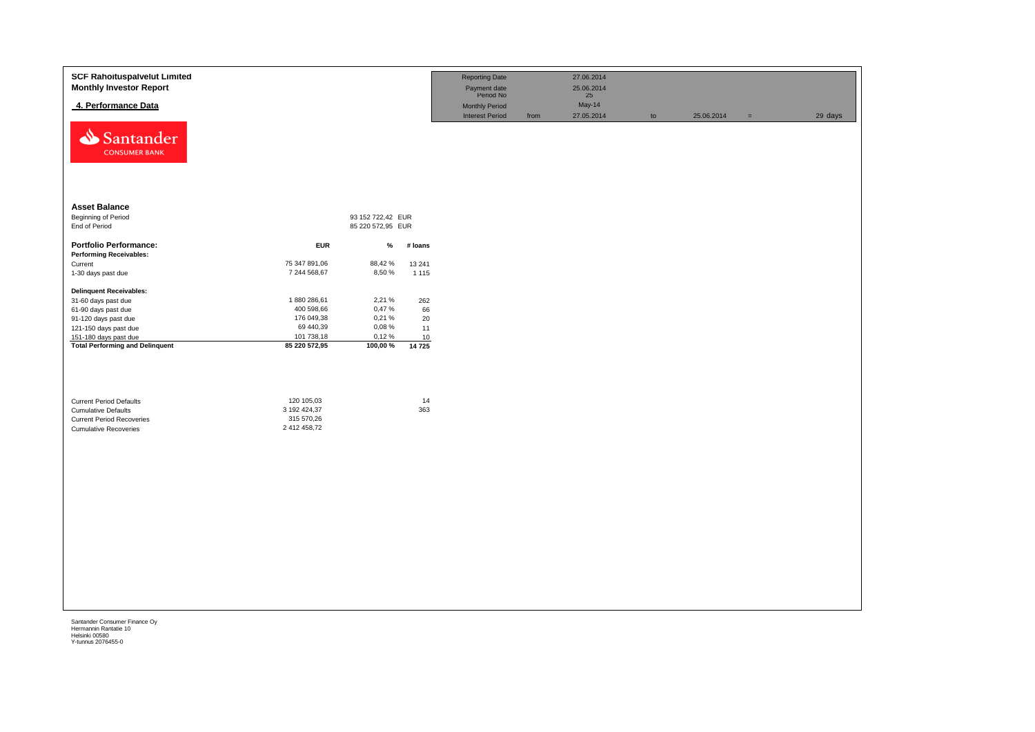| <b>SCF Rahoituspalvelut Limited</b><br><b>Monthly Investor Report</b><br>4. Performance Data<br>Santander<br><b>CONSUMER BANK</b> |                                                          |                   |               | <b>Reporting Date</b><br>Payment date<br>Period No<br><b>Monthly Period</b><br><b>Interest Period</b> | from | 27.06.2014<br>25.06.2014<br>25<br>May-14<br>27.05.2014 | to | 25.06.2014 | $\equiv$ | 29 days |
|-----------------------------------------------------------------------------------------------------------------------------------|----------------------------------------------------------|-------------------|---------------|-------------------------------------------------------------------------------------------------------|------|--------------------------------------------------------|----|------------|----------|---------|
| <b>Asset Balance</b>                                                                                                              |                                                          |                   |               |                                                                                                       |      |                                                        |    |            |          |         |
| <b>Beginning of Period</b>                                                                                                        |                                                          | 93 152 722,42 EUR |               |                                                                                                       |      |                                                        |    |            |          |         |
| End of Period                                                                                                                     |                                                          | 85 220 572,95 EUR |               |                                                                                                       |      |                                                        |    |            |          |         |
| <b>Portfolio Performance:</b><br><b>Performing Receivables:</b>                                                                   | <b>EUR</b>                                               | $\%$              | # loans       |                                                                                                       |      |                                                        |    |            |          |         |
| Current                                                                                                                           | 75 347 891,06                                            | 88,42%            | 13 241        |                                                                                                       |      |                                                        |    |            |          |         |
| 1-30 days past due                                                                                                                | 7 244 568,67                                             | 8,50%             | 1 1 1 5       |                                                                                                       |      |                                                        |    |            |          |         |
| <b>Delinquent Receivables:</b>                                                                                                    |                                                          |                   |               |                                                                                                       |      |                                                        |    |            |          |         |
| 31-60 days past due                                                                                                               | 1880 286,61                                              | 2,21%             | 262           |                                                                                                       |      |                                                        |    |            |          |         |
| 61-90 days past due                                                                                                               | 400 598,66                                               | 0,47%             | 66            |                                                                                                       |      |                                                        |    |            |          |         |
| 91-120 days past due                                                                                                              | 176 049,38                                               | 0,21%             | 20            |                                                                                                       |      |                                                        |    |            |          |         |
| 121-150 days past due                                                                                                             | 69 440,39                                                | 0,08%             | 11            |                                                                                                       |      |                                                        |    |            |          |         |
| 151-180 days past due<br><b>Total Performing and Delinquent</b>                                                                   | 101 738,18<br>85 220 572,95                              | 0,12%<br>100,00%  | $10$<br>14725 |                                                                                                       |      |                                                        |    |            |          |         |
| <b>Current Period Defaults</b><br><b>Cumulative Defaults</b><br><b>Current Period Recoveries</b><br><b>Cumulative Recoveries</b>  | 120 105,03<br>3 192 424,37<br>315 570,26<br>2 412 458,72 |                   | 14<br>363     |                                                                                                       |      |                                                        |    |            |          |         |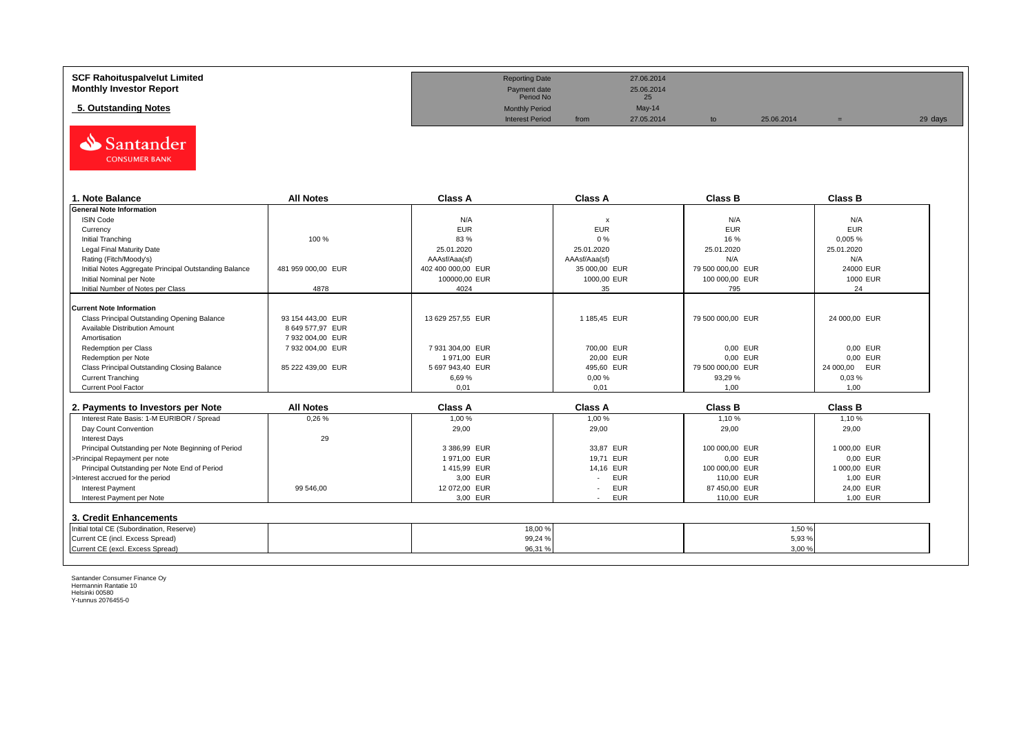| <b>SCF Rahoituspalvelut Limited</b> | <b>Reporting Date</b>     |      | 27.06.2014       |            |         |
|-------------------------------------|---------------------------|------|------------------|------------|---------|
| <b>Monthly Investor Report</b>      | Payment date<br>Period No |      | 25.06.2014<br>25 |            |         |
| 5. Outstanding Notes                | <b>Monthly Period</b>     |      | $May-14$         |            |         |
|                                     | <b>Interest Period</b>    | from | 27.05.2014       | 25.06.2014 | 29 days |



| 1. Note Balance                                       | <b>All Notes</b>   | Class A            | <b>Class A</b> | <b>Class B</b>    | <b>Class B</b> |
|-------------------------------------------------------|--------------------|--------------------|----------------|-------------------|----------------|
| <b>General Note Information</b>                       |                    |                    |                |                   |                |
| <b>ISIN Code</b>                                      |                    | N/A                | x              | N/A               | N/A            |
| Currency                                              |                    | <b>EUR</b>         | <b>EUR</b>     | <b>EUR</b>        | <b>EUR</b>     |
| Initial Tranching                                     | 100 %              | 83%                | 0%             | 16 %              | 0,005%         |
| Legal Final Maturity Date                             |                    | 25.01.2020         | 25.01.2020     | 25.01.2020        | 25.01.2020     |
| Rating (Fitch/Moody's)                                |                    | AAAsf/Aaa(sf)      | AAAsf/Aaa(sf)  | N/A               | N/A            |
| Initial Notes Aggregate Principal Outstanding Balance | 481 959 000,00 EUR | 402 400 000,00 EUR | 35 000,00 EUR  | 79 500 000,00 EUR | 24000 EUR      |
| Initial Nominal per Note                              |                    | 100000.00 EUR      | 1000,00 EUR    | 100 000,00 EUR    | 1000 EUR       |
| Initial Number of Notes per Class                     | 4878               | 4024               | 35             | 795               | 24             |
|                                                       |                    |                    |                |                   |                |
| <b>Current Note Information</b>                       |                    |                    |                |                   |                |
| Class Principal Outstanding Opening Balance           | 93 154 443.00 EUR  | 13 629 257,55 EUR  | 1 185,45 EUR   | 79 500 000,00 EUR | 24 000,00 EUR  |
| Available Distribution Amount                         | 8 649 577,97 EUR   |                    |                |                   |                |
| Amortisation                                          | 7 932 004.00 EUR   |                    |                |                   |                |
| Redemption per Class                                  | 7 932 004.00 EUR   | 7 931 304.00 EUR   | 700.00 EUR     | 0.00 EUR          | 0,00 EUR       |
| Redemption per Note                                   |                    | 1971,00 EUR        | 20,00 EUR      | 0,00 EUR          | 0,00 EUR       |
| Class Principal Outstanding Closing Balance           | 85 222 439,00 EUR  | 5 697 943,40 EUR   | 495,60 EUR     | 79 500 000,00 EUR | 24 000,00 EUR  |
| <b>Current Tranching</b>                              |                    | 6,69%              | 0,00%          | 93,29 %           | 0.03%          |
| <b>Current Pool Factor</b>                            |                    | 0,01               | 0,01           | 1,00              | 1,00           |

| 2. Payments to Investors per Note                  | <b>All Notes</b> | <b>Class A</b> | <b>Class A</b>                         | <b>Class B</b> | <b>Class B</b> |
|----------------------------------------------------|------------------|----------------|----------------------------------------|----------------|----------------|
| Interest Rate Basis: 1-M EURIBOR / Spread          | 0.26%            | 1.00 %         | 1.00 %                                 | 1.10%          | 1.10 %         |
| Day Count Convention                               |                  | 29,00          | 29,00                                  | 29,00          | 29,00          |
| <b>Interest Days</b>                               | 29               |                |                                        |                |                |
| Principal Outstanding per Note Beginning of Period |                  | 3 386.99 EUR   | 33.87 EUR                              | 100 000.00 EUR | 1 000.00 EUR   |
| >Principal Repayment per note                      |                  | 1971.00 EUR    | 19.71 EUR                              | 0.00 EUR       | 0.00 EUR       |
| Principal Outstanding per Note End of Period       |                  | 1415.99 EUR    | 14.16 EUR                              | 100 000,00 EUR | 1 000.00 EUR   |
| >Interest accrued for the period                   |                  | 3.00 EUR       | <b>EUR</b>                             | 110.00 EUR     | 1.00 EUR       |
| <b>Interest Payment</b>                            | 99 546.00        | 12 072.00 EUR  | <b>EUR</b><br>$\overline{\phantom{a}}$ | 87 450.00 EUR  | 24.00 EUR      |
| Interest Payment per Note                          |                  | 3,00 EUR       | <b>EUR</b>                             | 110,00 EUR     | 1,00 EUR       |
| 3. Credit Enhancements                             |                  |                |                                        |                |                |
| Initial total CE (Subordination, Reserve)          |                  | 18,00 %        |                                        |                | 1,50 %         |
| Current CE (incl. Excess Spread)                   |                  | 99,24 %        |                                        |                | 5,93 %         |
| Current CE (excl. Excess Spread)                   |                  | 96,31 %        |                                        |                | 3,00%          |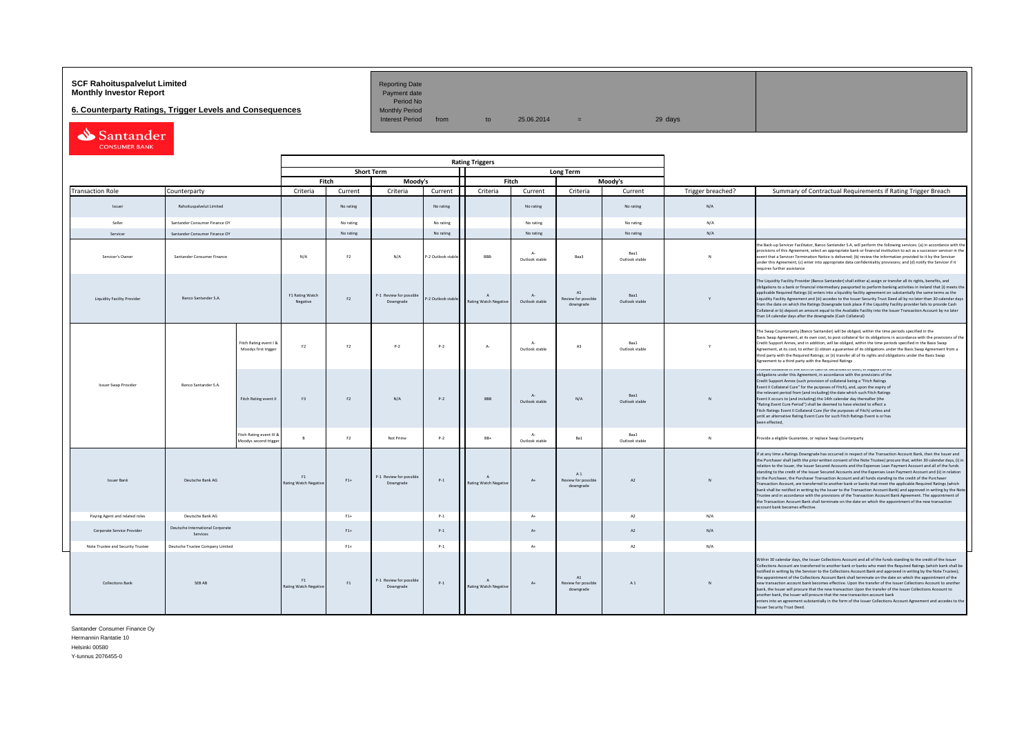# **SCF Rahoituspalvelut Limited Accord Reporting Date**<br>**Monthly Investor Report** Payment date **Payment date**

**6. Counterparty Ratings, Trigger Levels and Consequences** 

Period No<br>Monthly Period

Interest Period from to  $25.06.2014$  = 29 days

Santander

|  |                                                                                                              |                                              |                                                   |                                   |           |                                      |                    | <b>Rating Triggers</b>             |                               |                                                 |                        |                   |                                                                                                                                                                                                                                                                                                                                                                                                                                                                                                                                                                                                                                                                                                                                                                                                                                                                                                                                                                                                                                                                                                      |
|--|--------------------------------------------------------------------------------------------------------------|----------------------------------------------|---------------------------------------------------|-----------------------------------|-----------|--------------------------------------|--------------------|------------------------------------|-------------------------------|-------------------------------------------------|------------------------|-------------------|------------------------------------------------------------------------------------------------------------------------------------------------------------------------------------------------------------------------------------------------------------------------------------------------------------------------------------------------------------------------------------------------------------------------------------------------------------------------------------------------------------------------------------------------------------------------------------------------------------------------------------------------------------------------------------------------------------------------------------------------------------------------------------------------------------------------------------------------------------------------------------------------------------------------------------------------------------------------------------------------------------------------------------------------------------------------------------------------------|
|  |                                                                                                              |                                              |                                                   |                                   |           | <b>Short Term</b>                    |                    |                                    |                               | Long Term                                       |                        |                   |                                                                                                                                                                                                                                                                                                                                                                                                                                                                                                                                                                                                                                                                                                                                                                                                                                                                                                                                                                                                                                                                                                      |
|  |                                                                                                              |                                              |                                                   | Fitch                             |           | Moody's                              |                    | Fitch                              |                               |                                                 | Moody's                |                   |                                                                                                                                                                                                                                                                                                                                                                                                                                                                                                                                                                                                                                                                                                                                                                                                                                                                                                                                                                                                                                                                                                      |
|  | <b>Transaction Role</b>                                                                                      | Counterparty                                 |                                                   | Criteria                          | Current   | Criteria                             | Current            | Criteria                           | Current                       | Criteria                                        | Current                | Trigger breached? | Summary of Contractual Requirements if Rating Trigger Breach                                                                                                                                                                                                                                                                                                                                                                                                                                                                                                                                                                                                                                                                                                                                                                                                                                                                                                                                                                                                                                         |
|  | Issuer                                                                                                       | Rahoituspalvelut Limited                     |                                                   |                                   | No rating |                                      | No rating          |                                    | No rating                     |                                                 | No rating              | N/A               |                                                                                                                                                                                                                                                                                                                                                                                                                                                                                                                                                                                                                                                                                                                                                                                                                                                                                                                                                                                                                                                                                                      |
|  | Seller                                                                                                       | Santander Consumer Finance OY                |                                                   |                                   | No rating |                                      | No rating          |                                    | No rating                     |                                                 | No rating              | N/A               |                                                                                                                                                                                                                                                                                                                                                                                                                                                                                                                                                                                                                                                                                                                                                                                                                                                                                                                                                                                                                                                                                                      |
|  | Services                                                                                                     | Santander Consumer Finance OY                |                                                   |                                   | No rating |                                      | No rating          |                                    | No rating                     |                                                 | No rating              | N/A               |                                                                                                                                                                                                                                                                                                                                                                                                                                                                                                                                                                                                                                                                                                                                                                                                                                                                                                                                                                                                                                                                                                      |
|  | Servicer's Owner<br>Santander Consumer Finance<br>Banco Santander S.A.<br><b>Liquidity Facility Provider</b> |                                              |                                                   | N/A                               | F2        | N/A                                  | -2 Outlook stabl   | RRR-                               | $\Delta$<br>Outlook stable    | Baa3                                            | Baa1<br>Outlook stable | $\mathbf{N}$      | the Back-up Servicer Facilitator, Banco Santander S.A, will perform the following services: (a) in accordance with th<br>provisions of this Agreement, select an appropriate bank or financial institution to act as a successor servicer in the<br>event that a Servicer Termination Notice is delivered; (b) review the information provided to it by the Servicer<br>under this Agreement; (c) enter into appropriate data confidentiality provisions; and (d) notify the Servicer if it<br>requires further assistance                                                                                                                                                                                                                                                                                                                                                                                                                                                                                                                                                                           |
|  |                                                                                                              |                                              |                                                   | F1 Rating Watch<br>Negative       | F2        | P-1 Review for possible<br>Downgrade | P-2 Outlook stable | Rating Watch Negative              | $\Lambda$ -<br>Outlook stable | A1<br>Review for possible<br>downgrade          | Baa1<br>Outlook stable | $\mathbf{v}$      | The Liquidity Facility Provider (Banco Santander) shall either a) assign or transfer all its rights, benefits, and<br>obligations to a bank or financial intermediary passported to perform banking activities in Ireland that (i) meets the<br>applicable Required Ratings (ii) enters into a liquidity facility agreement on substantially the same terms as the<br>Liquidity Facility Agreement and (iii) accedes to the Issuer Security Trust Deed all by no later than 30 calendar days<br>from the date on which the Ratings Downgrade took place if the Liquidity Facility provider fails to provide Cash<br>Collateral or b) deposit an amount equal to the Available Facility into the Issuer Transaction Account by no later<br>than 14 calendar days after the downgrade (Cash Collateral)                                                                                                                                                                                                                                                                                                |
|  |                                                                                                              |                                              | Fitch Rating event I &<br>Moodys first trigger    | F <sub>2</sub>                    | F2        | p.2                                  | $P-2$              | $\Lambda$ -                        | $\Delta$<br>Outlook stable    | A3                                              | Boo1<br>Outlook stable | Y                 | The Swap Counterparty (Banco Santander) will be obliged, within the time periods specified in the<br>Basis Swap Agreement, at its own cost, to post collateral for its obligations in accordance with the provisions of the<br>Credit Support Annex, and in addition, will be obliged, within the time periods specified in the Basis Swap<br>Agreement, at its cost, to either (i) obtain a guarantee of its obligations under the Basis Swap Agreement from a<br>third party with the Required Ratings; or (ii) transfer all of its rights and obligations under the Basis Swap<br>Agreement to a third party with the Required Ratings                                                                                                                                                                                                                                                                                                                                                                                                                                                            |
|  | Issuer Swap Provider                                                                                         | Banco Santander S.A.                         | Fitch Rating event II                             | F3                                | F2        | N/A                                  | $P-2$              | <b>BBB</b>                         | $A-$<br>Outlook stable        | N/A                                             | Baa1<br>Outlook stable | N                 | בורוס שומנים והואס והיום ומודדות המודר להורים של המודר המודר המודר המודר המודר המודר המודר המודר המודר המודר ה<br>obligations under this Agreement, in accordance with the provisions of the<br>Credit Support Annex (such provision of collateral being a "Fitch Ratings<br>Event II Collateral Cure" for the purposes of Fitch), and, upon the expiry of<br>the relevant period from (and including) the date which such Fitch Ratings<br>Event II occurs to (and including) the 14th calendar day thereafter (the<br>"Rating Event Cure Period") shall be deemed to have elected to effect a<br>Fitch Ratings Event II Collateral Cure (for the purposes of Fitch) unless and<br>until an alternative Rating Event Cure for such Fitch Ratings Event is or has<br>been effected,                                                                                                                                                                                                                                                                                                                  |
|  |                                                                                                              |                                              | Fitch Rating event III 8<br>Moodys second trigger |                                   | F2        | Not Prime                            | $P-2$              | $RR+$                              | $\Lambda$ -<br>Outlook stable | Ba1                                             | Baa1<br>Outlook stable | $\mathbf{N}$      | Provide a eligible Guarantee, or replace Swap Counterparty                                                                                                                                                                                                                                                                                                                                                                                                                                                                                                                                                                                                                                                                                                                                                                                                                                                                                                                                                                                                                                           |
|  | <b>Issuer Bank</b>                                                                                           | Deutsche Bank AG                             |                                                   | F1<br><b>Rating Watch Negativ</b> | $F1+$     | P-1 Review for possible<br>Downgrade | $P-1$              | $\Lambda$<br>Rating Watch Negative | $A+$                          | A1<br>Review for possible<br>downgrade          | A2                     | N                 | If at any time a Ratings Downgrade has occurred in respect of the Transaction Account Bank, then the Issuer and<br>the Purchaser shall (with the prior written consent of the Note Trustee) procure that, within 30 calendar days, (i) in<br>relation to the Issuer, the Issuer Secured Accounts and the Expenses Loan Payment Account and all of the funds<br>standing to the credit of the Issuer Secured Accounts and the Expenses Loan Payment Account and (ii) in relation<br>to the Purchaser, the Purchaser Transaction Account and all funds standing to the credit of the Purchaser<br>Transaction Account, are transferred to another bank or banks that meet the applicable Required Ratings (which<br>bank shall be notified in writing by the Issuer to the Transaction Account Bank) and approved in writing by the Note<br>Trustee and in accordance with the provisions of the Transaction Account Bank Agreement. The appointment of<br>the Transaction Account Bank shall terminate on the date on which the appointment of the new transaction<br>account bank becomes effective. |
|  | Paying Agent and related roles                                                                               | Deutsche Bank AG                             |                                                   |                                   | $F1+$     |                                      | $P-1$              |                                    | $A+$                          |                                                 | A <sub>2</sub>         | N/A               |                                                                                                                                                                                                                                                                                                                                                                                                                                                                                                                                                                                                                                                                                                                                                                                                                                                                                                                                                                                                                                                                                                      |
|  | Cornorate Service Provider                                                                                   | Deutsche International Corporate<br>Services |                                                   |                                   | $F1+$     |                                      | $P-1$              |                                    | $A+$                          |                                                 | A2                     | N/A               |                                                                                                                                                                                                                                                                                                                                                                                                                                                                                                                                                                                                                                                                                                                                                                                                                                                                                                                                                                                                                                                                                                      |
|  | Note Trustee and Security Trustee                                                                            | Deutsche Trustee Company Limited             |                                                   |                                   | $F1+$     |                                      | $P-1$              |                                    | $A+$                          |                                                 | A2                     | N/A               |                                                                                                                                                                                                                                                                                                                                                                                                                                                                                                                                                                                                                                                                                                                                                                                                                                                                                                                                                                                                                                                                                                      |
|  | <b>Collections Bank</b>                                                                                      | SEB AB                                       |                                                   | F1<br>Rating Watch Negativ        | F1        | P-1 Review for possible<br>Downgrade | $P-1$              | Rating Watch Negative              | $A+$                          | $\Lambda$ 1<br>Review for possible<br>downgrade | A1                     | $\mathsf{N}$      | Within 30 calendar days, the Issuer Collections Account and all of the funds standing to the credit of the Issuer<br>Collections Account are transferred to another bank or banks who meet the Required Ratings (which bank shall be<br>notified in writing by the Servicer to the Collections Account Bank and approved in writing by the Note Trustee);<br>the appointment of the Collections Account Bank shall terminate on the date on which the appointment of the<br>new transaction account bank becomes effective. Upon the transfer of the Issuer Collections Account to another<br>bank, the Issuer will procure that the new transaction Upon the transfer of the Issuer Collections Acoount to<br>another bank, the Issuer will procure that the new transaction account bank<br>enters into an agreement substantially in the form of the Issuer Collections Account Agreement and accedes to the<br>Issuer Security Trust Deed.                                                                                                                                                       |

Santander Consumer Finance Oy Hermannin Rantatie 10 Helsinki 00580

Y-tunnus 2076455-0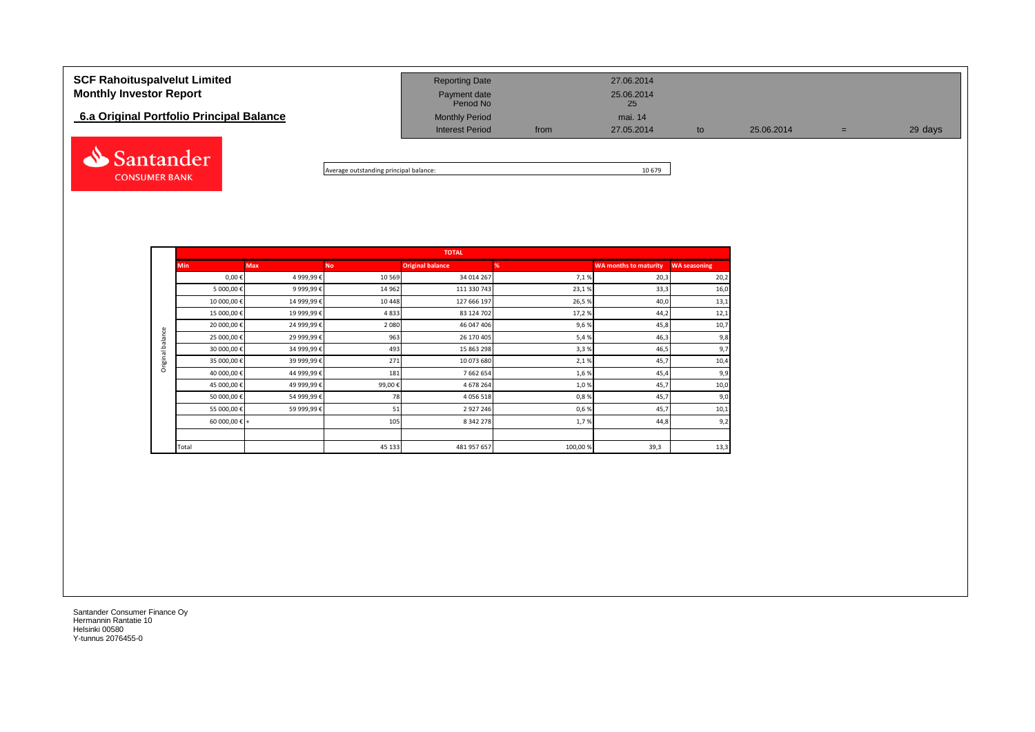# **SCF Rahoituspalvelut Limited** 27.06.2014 **Monthly Investor Report Payment date** 25.06.2014 Payment date<br>Period No **6.a Original Portfolio Principal Balance** Monthly Period Monthly Period mai. 14 Interest Period from 27.05.2014 to 25.06.2014 = 29 days Santander



|                  |                        |             |           | <b>TOTAL</b>            |         |                              |                     |
|------------------|------------------------|-------------|-----------|-------------------------|---------|------------------------------|---------------------|
|                  | <b>Min</b>             | <b>Max</b>  | <b>No</b> | <b>Original balance</b> | %       | <b>WA months to maturity</b> | <b>WA seasoning</b> |
|                  | $0,00 \in$             | 4 999,99€   | 10 5 69   | 34 014 267              | 7,1%    | 20,3                         | 20,2                |
|                  | 5 000,00€              | 9 999,99€   | 14 9 62   | 111 330 743             | 23,1%   | 33,3                         | 16,0                |
|                  | 10 000,00€             | 14 999,99€  | 10 4 48   | 127 666 197             | 26,5%   | 40,0                         | 13,1                |
|                  | 15 000,00 €            | 19 999,99€  | 4833      | 83 124 702              | 17,2%   | 44,2                         | 12,1                |
|                  | 20 000,00 €            | 24 999,99€  | 2080      | 46 047 406              | 9,6%    | 45,8                         | 10,7                |
| Original balance | 25 000,00 €            | 29 999,99 € | 963       | 26 170 405              | 5,4%    | 46,3                         | 9,8                 |
|                  | 30 000,00 €            | 34 999,99 € | 493       | 15 863 298              | 3,3%    | 46,5                         | 9,7                 |
|                  | 35 000,00 €            | 39 999,99 € | 271       | 10 073 680              | 2,1%    | 45,7                         | 10,4                |
|                  | 40 000,00 €            | 44 999,99 € | 181       | 7 662 654               | 1,6%    | 45,4                         | 9,9                 |
|                  | 45 000,00 €            | 49 999,99€  | 99,00 €   | 4 678 264               | 1,0%    | 45,7                         | 10,0                |
|                  | 50 000,00 €            | 54 999,99€  | 78        | 4 0 5 6 5 1 8           | 0,8%    | 45,7                         | 9,0                 |
|                  | 55 000,00 €            | 59 999,99 € | 51        | 2 9 2 7 2 4 6           | 0,6%    | 45,7                         | 10,1                |
|                  | 60 000,00 $\epsilon$ + |             | 105       | 8 342 278               | 1,7%    | 44,8                         | 9,2                 |
|                  |                        |             |           |                         |         |                              |                     |
|                  | Total                  |             | 45 133    | 481 957 657             | 100,00% | 39,3                         | 13,3                |

Santander Consumer Finance Oy Hermannin Rantatie 10 Helsinki 00580 Y-tunnus 2076455-0

**CONSUMER BANK**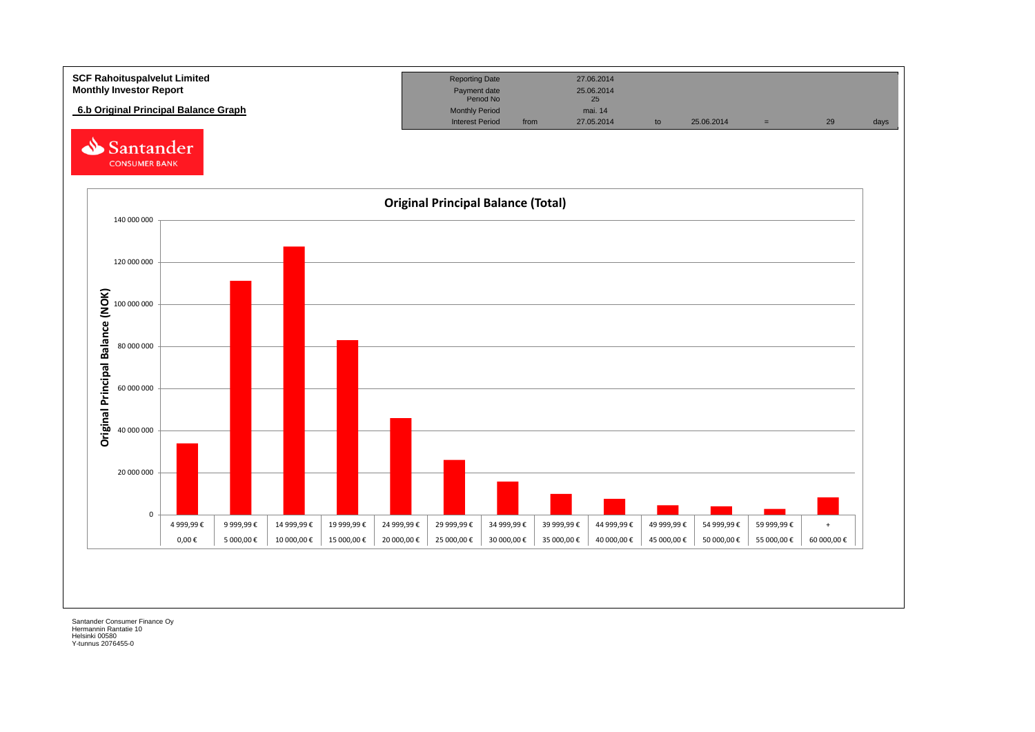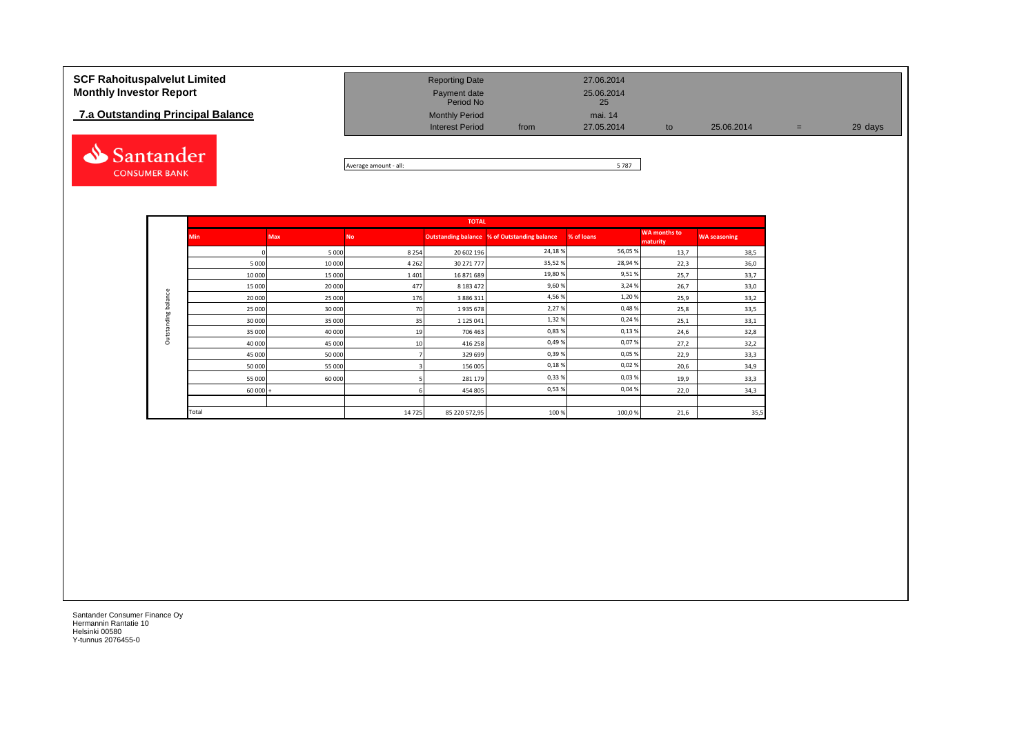## **7.a Outstanding Principal Balance**



| <b>SCF Rahoituspalvelut Limited</b><br><b>Monthly Investor Report</b> | <b>Reporting Date</b><br>Payment date<br>Period No |      | 27.06.2014<br>25.06.2014<br>25 |    |            |     |         |
|-----------------------------------------------------------------------|----------------------------------------------------|------|--------------------------------|----|------------|-----|---------|
| 7.a Outstanding Principal Balance                                     | <b>Monthly Period</b><br><b>Interest Period</b>    | from | mai. 14<br>27.05.2014          | to | 25.06.2014 | $=$ | 29 days |
|                                                                       |                                                    |      |                                |    |            |     |         |

Average amount - all: 5 787

|             |            |            |           | <b>TOTAL</b>  |                                              |            |                                 |                     |
|-------------|------------|------------|-----------|---------------|----------------------------------------------|------------|---------------------------------|---------------------|
|             | <b>Min</b> | <b>Max</b> | <b>No</b> |               | Outstanding balance % of Outstanding balance | % of loans | <b>WA months to</b><br>maturity | <b>WA seasoning</b> |
|             |            | 5 0 0 0    | 8 2 5 4   | 20 602 196    | 24,18%                                       | 56,05 %    | 13,7                            | 38,5                |
|             | 5 0 0 0    | 10 000     | 4 2 6 2   | 30 271 777    | 35,52%                                       | 28,94 %    | 22,3                            | 36,0                |
|             | 10 000     | 15 000     | 1401      | 16 871 689    | 19,80%                                       | 9,51%      | 25,7                            | 33,7                |
|             | 15 000     | 20 000     | 477       | 8 183 472     | 9,60%                                        | 3,24 %     | 26,7                            | 33,0                |
| balance     | 20 000     | 25 000     | 176       | 3 886 311     | 4,56%                                        | 1,20%      | 25,9                            | 33,2                |
|             | 25 000     | 30 000     | 70        | 1935678       | 2,27%                                        | 0,48%      | 25,8                            | 33,5                |
| Outstanding | 30 000     | 35 000     | 35        | 1 1 2 5 0 4 1 | 1,32%                                        | 0,24%      | 25,1                            | 33,1                |
|             | 35 000     | 40 000     | 19        | 706 463       | 0,83%                                        | 0,13%      | 24,6                            | 32,8                |
|             | 40 000     | 45 000     | 10        | 416 258       | 0,49%                                        | 0,07%      | 27,2                            | 32,2                |
|             | 45 000     | 50 000     |           | 329 699       | 0,39%                                        | 0,05%      | 22,9                            | 33,3                |
|             | 50 000     | 55 000     |           | 156 005       | 0,18%                                        | 0,02%      | 20,6                            | 34,9                |
|             | 55 000     | 60 000     |           | 281 179       | 0,33%                                        | 0,03%      | 19,9                            | 33,3                |
|             | $60000 +$  |            |           | 454 805       | 0,53%                                        | 0,04%      | 22,0                            | 34,3                |
|             |            |            |           |               |                                              |            |                                 |                     |
|             | Total      |            | 14725     | 85 220 572,95 | 100 %                                        | 100,0%     | 21,6                            | 35,5                |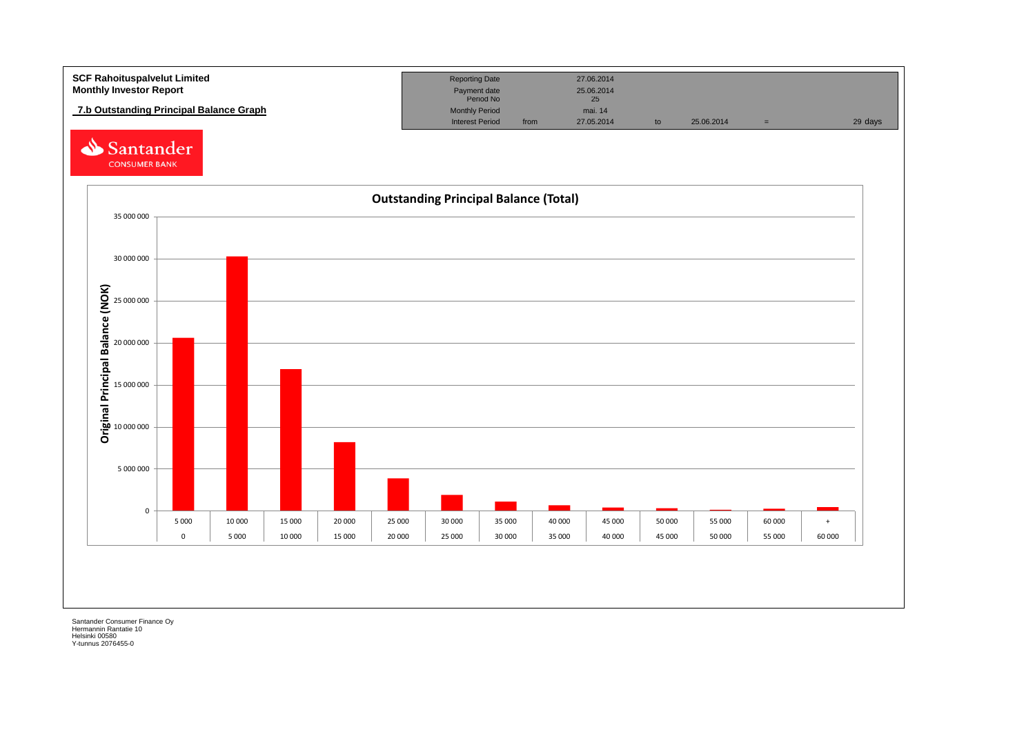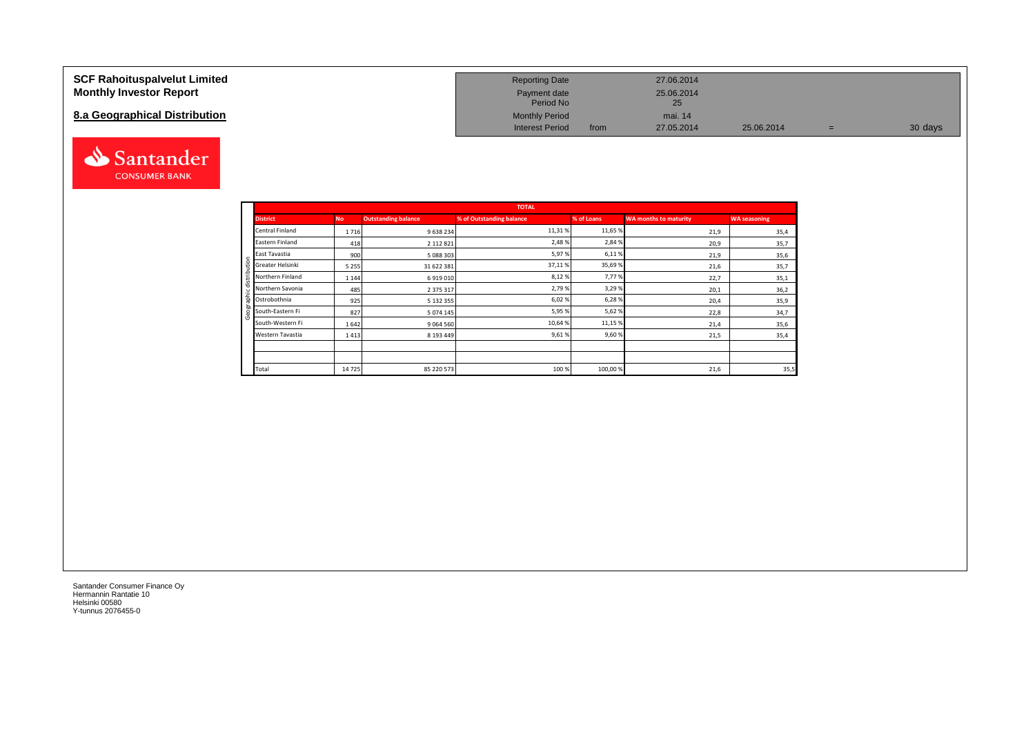### **SCF Rahoituspalvelut Limited Monthly Investor Report**

## **8.a Geographical Distribution**



| <b>Reporting Date</b>     |      | 27.06.2014       |            |   |         |
|---------------------------|------|------------------|------------|---|---------|
| Payment date<br>Period No |      | 25.06.2014<br>25 |            |   |         |
| <b>Monthly Period</b>     |      | mai. 14          |            |   |         |
| <b>Interest Period</b>    | from | 27.05.2014       | 25.06.2014 | = | 30 days |

|   |                  |           |                            | <b>TOTAL</b>             |            |                       |                     |
|---|------------------|-----------|----------------------------|--------------------------|------------|-----------------------|---------------------|
|   | <b>District</b>  | <b>No</b> | <b>Outstanding balance</b> | % of Outstanding balance | % of Loans | WA months to maturity | <b>WA seasoning</b> |
|   | Central Finland  | 1716      | 9 638 234                  | 11,31%                   | 11,65 %    | 21,9                  | 35,4                |
|   | Eastern Finland  | 418       | 2 112 8 21                 | 2,48%                    | 2,84 %     | 20,9                  | 35,7                |
|   | East Tavastia    | 900       | 5 088 303                  | 5,97%                    | 6,11%      | 21,9                  | 35,6                |
| Ξ | Greater Helsinki | 5 2 5 5   | 31 622 381                 | 37,11%                   | 35,69%     | 21,6                  | 35,7                |
| ݠ | Northern Finland | 1 1 4 4   | 6919010                    | 8,12%                    | 7,77%      | 22,7                  | 35,1                |
|   | Northern Savonia | 485       | 2 375 317                  | 2,79%                    | 3,29%      | 20,1                  | 36,2                |
|   | Ostrobothnia     | 925       | 5 132 355                  | 6,02%                    | 6,28%      | 20,4                  | 35,9                |
|   | South-Eastern Fi | 827       | 5 0 7 4 1 4 5              | 5,95%                    | 5,62%      | 22,8                  | 34,7                |
|   | South-Western Fi | 1642      | 9 0 6 4 5 6 0              | 10,64%                   | 11,15 %    | 21,4                  | 35,6                |
|   | Western Tavastia | 1413      | 8 193 449                  | 9,61%                    | 9,60%      | 21,5                  | 35,4                |
|   |                  |           |                            |                          |            |                       |                     |
|   |                  |           |                            |                          |            |                       |                     |
|   | Total            | 14725     | 85 220 573                 | 100%                     | 100,00%    | 21,6                  | 35,5                |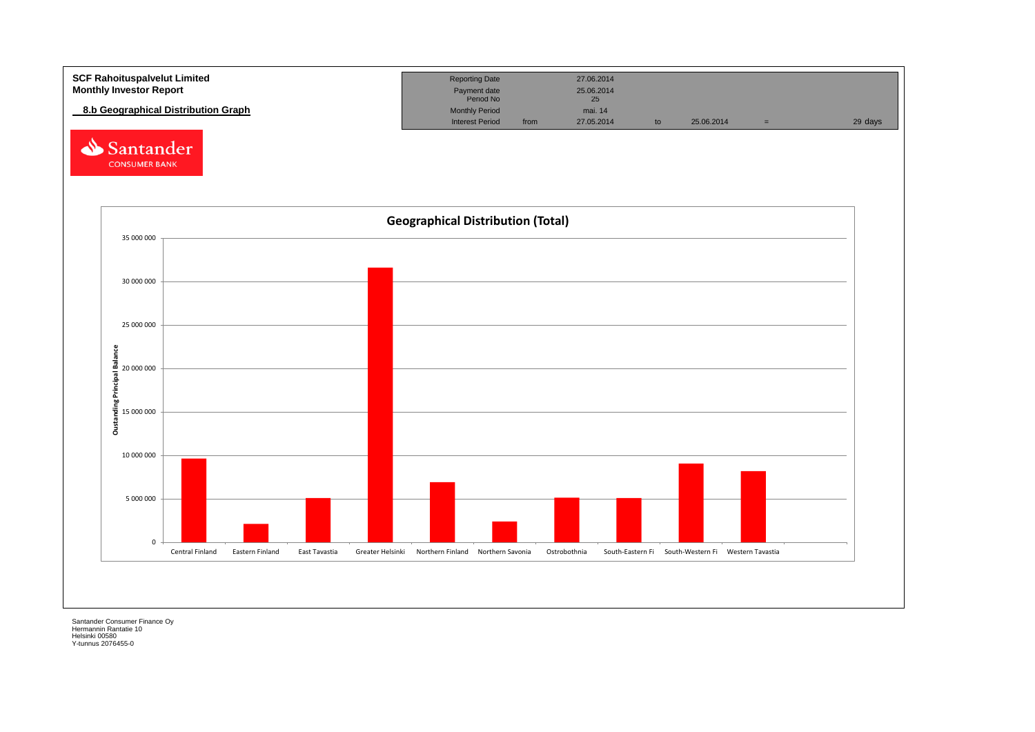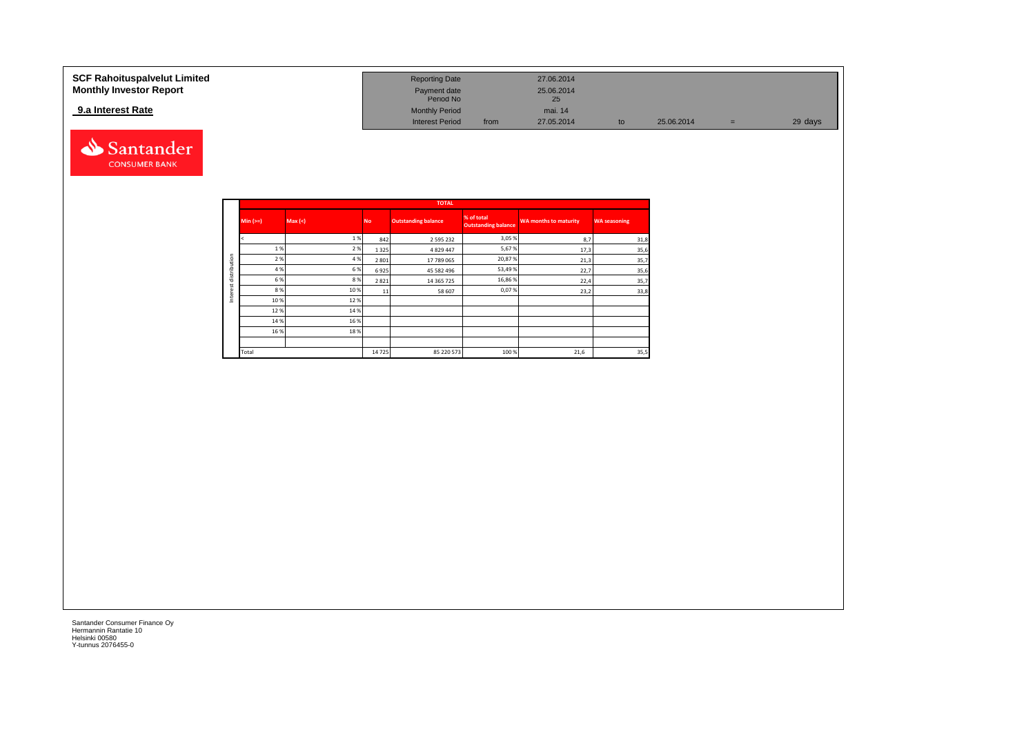| SCF Rahoituspalvelut Limited   | <b>Reporting Date</b>     |      | 27.06.2014       |            |   |         |
|--------------------------------|---------------------------|------|------------------|------------|---|---------|
| <b>Monthly Investor Report</b> | Payment date<br>Period No |      | 25.06.2014<br>25 |            |   |         |
| 9.a Interest Rate              | <b>Monthly Period</b>     |      | mai, 14          |            |   |         |
|                                | <b>Interest Period</b>    | from | 27.05.2014       | 25.06.2014 | = | 29 days |



|              |            |        |           | <b>TOTAL</b>               |                                          |                              |                     |
|--------------|------------|--------|-----------|----------------------------|------------------------------------------|------------------------------|---------------------|
|              | Min $(>=)$ | Max(<) | <b>No</b> | <b>Outstanding balance</b> | % of total<br><b>Outstanding balance</b> | <b>WA months to maturity</b> | <b>WA seasoning</b> |
|              |            | 1 %    | 842       | 2 595 232                  | 3,05%                                    | 8,7                          | 31,8                |
|              | 1%         | 2 %    | 1 3 2 5   | 4 8 29 4 4 7               | 5,67%                                    | 17,3                         | 35,6                |
|              | 2 %        | 4 %    | 2 8 0 1   | 17 789 065                 | 20,87%                                   | 21,3                         | 35,7                |
| distribution | 4 %        | 6 %    | 6925      | 45 582 496                 | 53,49 %                                  | 22,7                         | 35,6                |
| Interest     | 6 %        | 8%     | 2821      | 14 365 725                 | 16,86%                                   | 22,4                         | 35,7                |
|              | 8%         | 10%    | 11        | 58 607                     | 0,07%                                    | 23,2                         | 33,8                |
|              | 10%        | 12%    |           |                            |                                          |                              |                     |
|              | 12%        | 14 %   |           |                            |                                          |                              |                     |
|              | 14 %       | 16 %   |           |                            |                                          |                              |                     |
|              | 16 %       | 18%    |           |                            |                                          |                              |                     |
|              |            |        |           |                            |                                          |                              |                     |
|              | Total      |        | 14725     | 85 220 573                 | 100 %                                    | 21,6                         | 35,5                |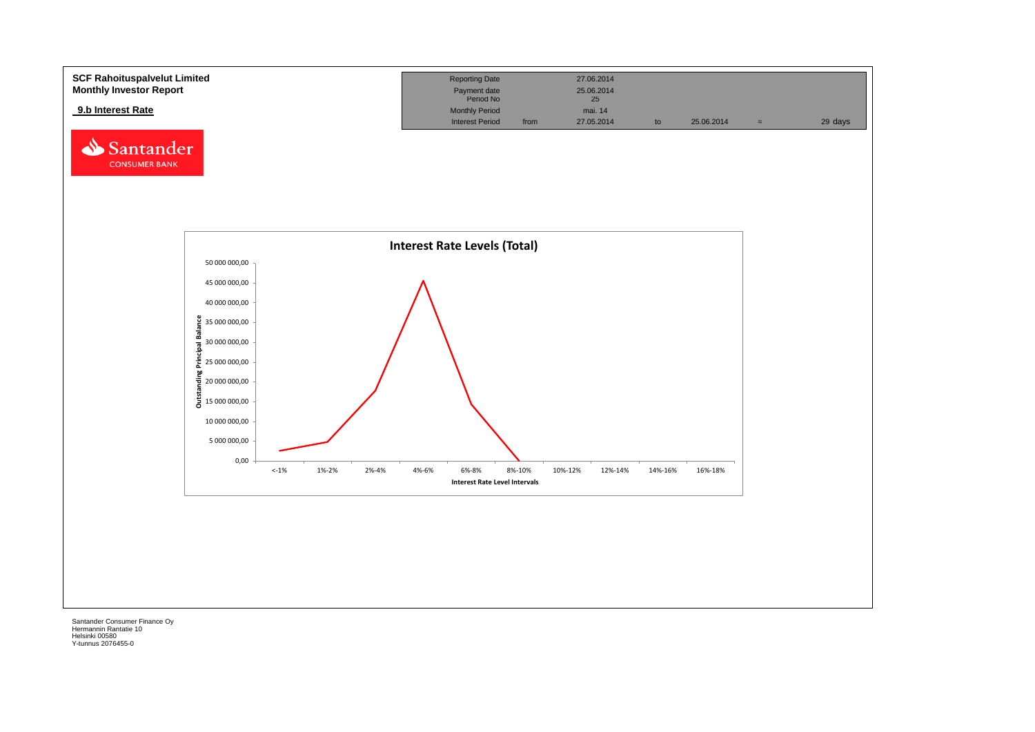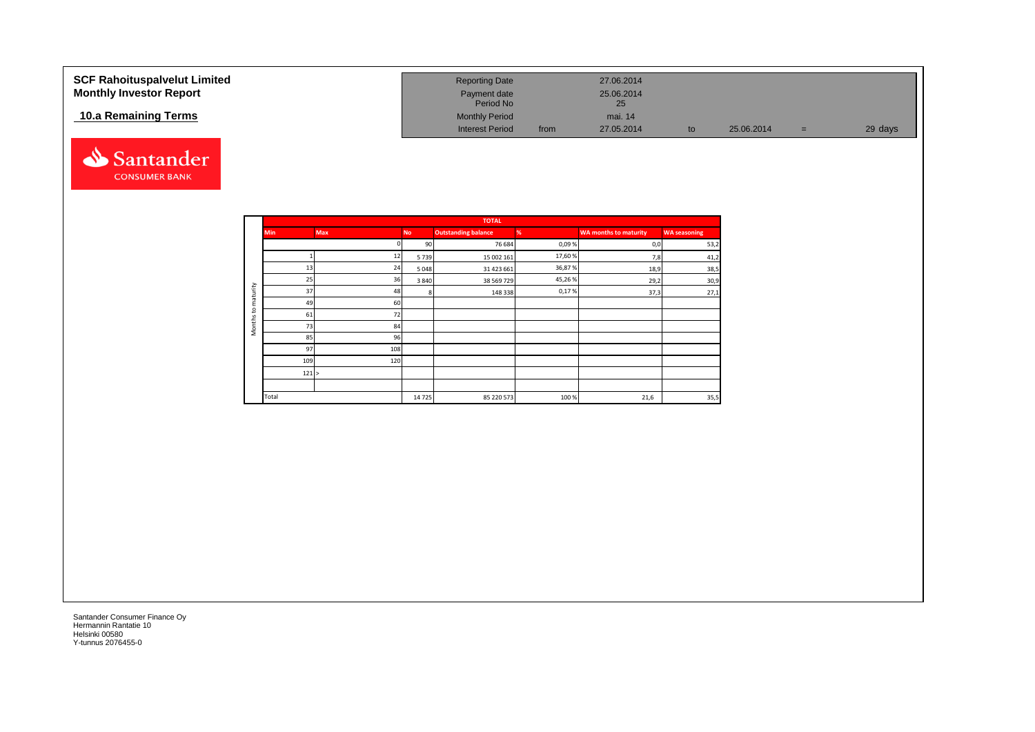| <b>SCF Rahoituspalvelut Limited</b><br><b>Monthly Investor Report</b> | <b>Reporting Date</b><br>Payment date<br>Period No |      | 27.06.2014<br>25.06.2014<br>25 |    |            |     |         |
|-----------------------------------------------------------------------|----------------------------------------------------|------|--------------------------------|----|------------|-----|---------|
| 10.a Remaining Terms                                                  | <b>Monthly Period</b><br><b>Interest Period</b>    | from | mai. 14<br>27.05.2014          | to | 25.06.2014 | $=$ | 29 days |



|                     |            |            |           | <b>TOTAL</b>               |        |                              |                     |
|---------------------|------------|------------|-----------|----------------------------|--------|------------------------------|---------------------|
|                     | <b>Min</b> | <b>Max</b> | <b>No</b> | <b>Outstanding balance</b> | %      | <b>WA months to maturity</b> | <b>WA seasoning</b> |
|                     |            |            | 90        | 76 684                     | 0,09%  | 0,0                          | 53,2                |
|                     |            | 12         | 5739      | 15 002 161                 | 17,60% | 7,8                          | 41,2                |
|                     | 13         | 24         | 5048      | 31 423 661                 | 36,87% | 18,9                         | 38,5                |
|                     | 25         | 36         | 3 8 4 0   | 38 569 729                 | 45,26% | 29,2                         | 30,9                |
| maturity            | 37         | 48         | 8         | 148 338                    | 0,17%  | 37,3                         | 27,1                |
|                     | 49         | 60         |           |                            |        |                              |                     |
| $\mathbf{c}$        | 61         | 72         |           |                            |        |                              |                     |
| Months <sup>-</sup> | 73         | 84         |           |                            |        |                              |                     |
|                     | 85         | 96         |           |                            |        |                              |                     |
|                     | 97         | 108        |           |                            |        |                              |                     |
|                     | 109        | 120        |           |                            |        |                              |                     |
|                     | 121 >      |            |           |                            |        |                              |                     |
|                     |            |            |           |                            |        |                              |                     |
|                     | Total      |            | 14725     | 85 220 573                 | 100%   | 21,6                         | 35,5                |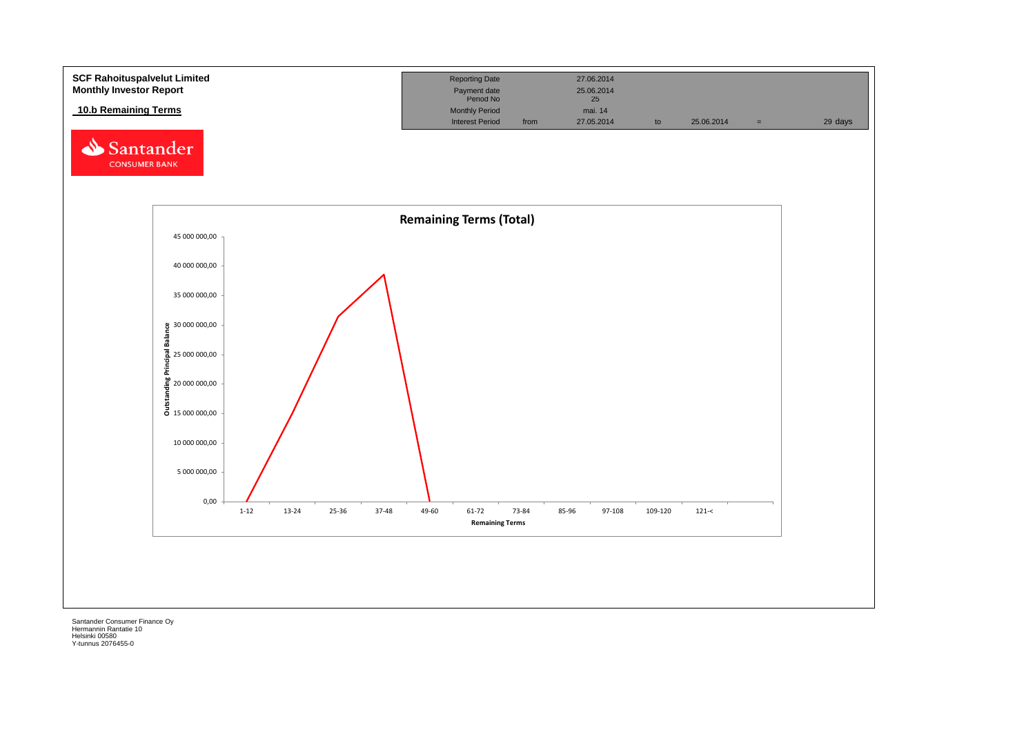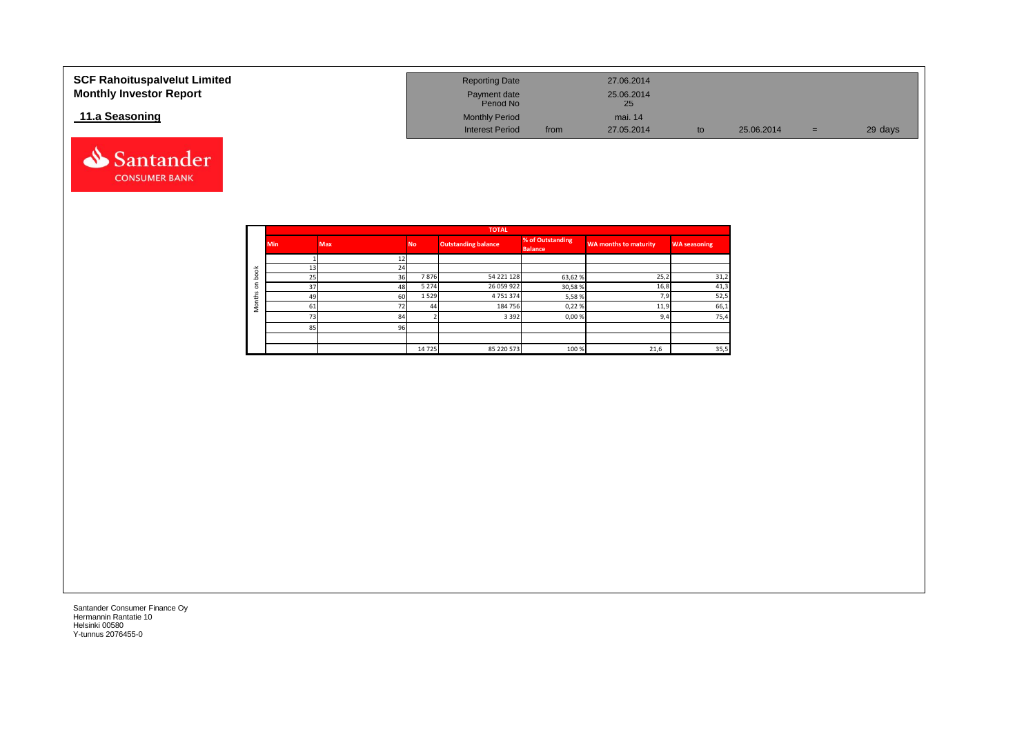| <b>SCF Rahoituspalvelut Limited</b><br><b>Monthly Investor Report</b> | <b>Reporting Date</b><br>Payment date<br>Period No |      | 27.06.2014<br>25.06.2014<br>25 |    |            |     |         |
|-----------------------------------------------------------------------|----------------------------------------------------|------|--------------------------------|----|------------|-----|---------|
| 11.a Seasoning                                                        | <b>Monthly Period</b>                              |      | mai. 14                        |    |            |     |         |
|                                                                       | <b>Interest Period</b>                             | from | 27.05.2014                     | to | 25.06.2014 | $=$ | 29 days |



Santander **CONSUMER BANK**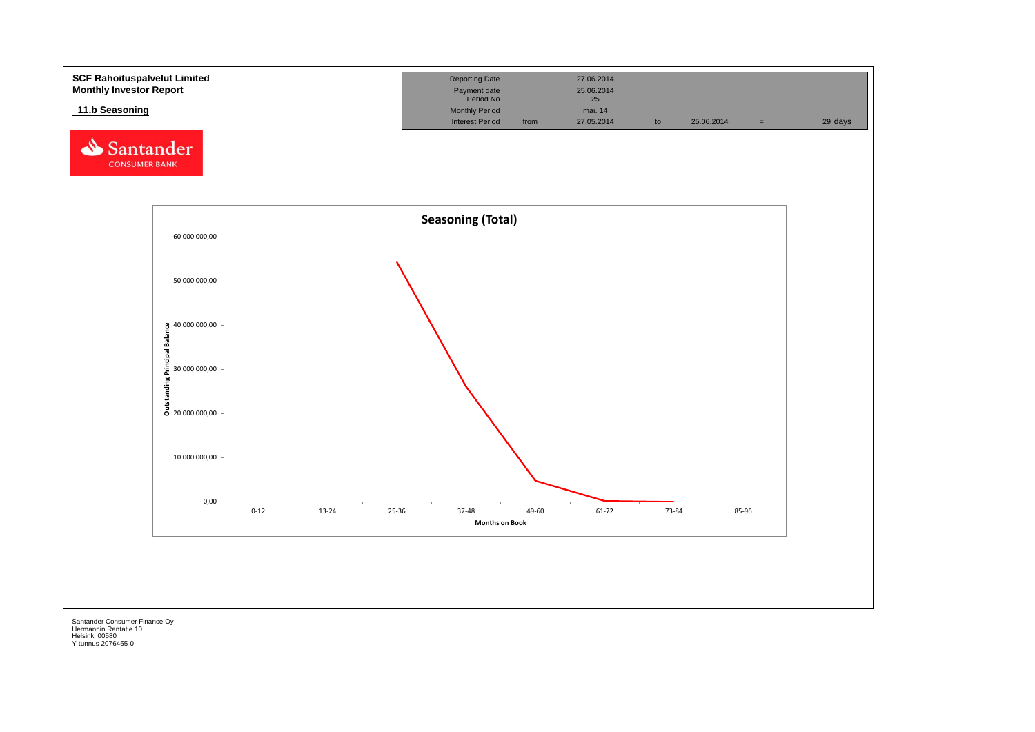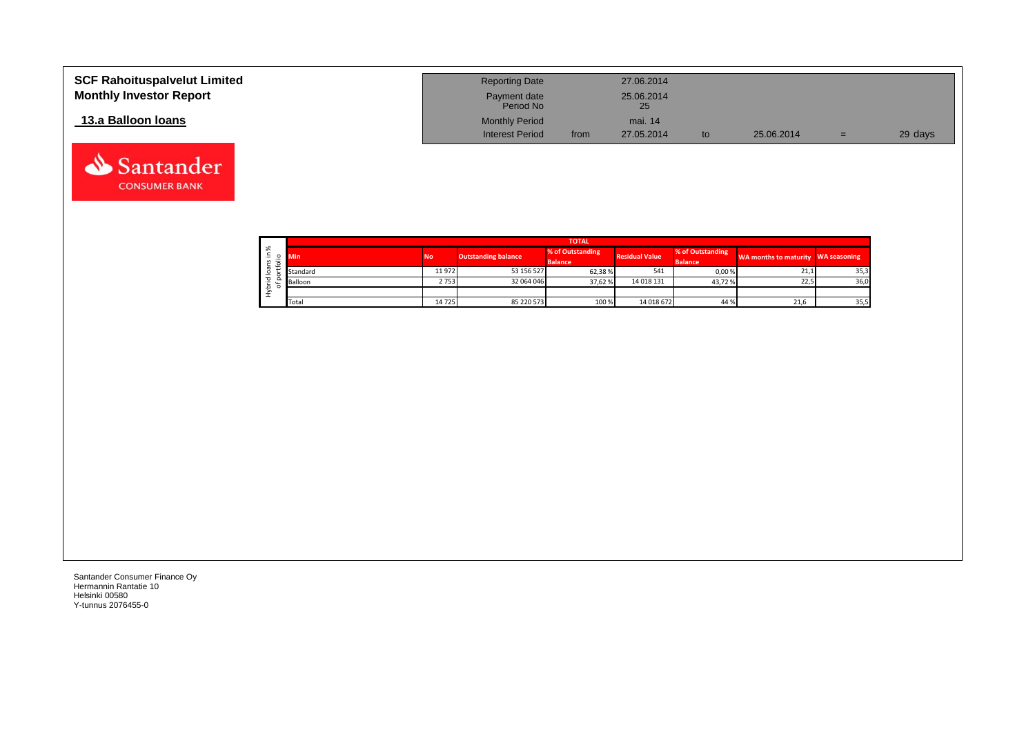| <b>SCF Rahoituspalvelut Limited</b><br><b>Monthly Investor Report</b> | <b>Reporting Date</b><br>Payment date<br>Period No |      | 27.06.2014<br>25.06.2014<br>25 |     |            |     |         |
|-----------------------------------------------------------------------|----------------------------------------------------|------|--------------------------------|-----|------------|-----|---------|
| 13.a Balloon Ioans                                                    | <b>Monthly Period</b><br><b>Interest Period</b>    | from | mai. 14<br>27.05.2014          | to. | 25.06.2014 | $=$ | 29 days |

|    | <b>TOTAL</b> |                 |                            |                                    |                                                             |        |                                    |      |  |  |  |  |
|----|--------------|-----------------|----------------------------|------------------------------------|-------------------------------------------------------------|--------|------------------------------------|------|--|--|--|--|
| ৯ং | Min          | No <sup>1</sup> | <b>Outstanding balance</b> | % of Outstanding<br><b>Balance</b> | % of Outstanding<br><b>Residual Value</b><br><b>Balance</b> |        | WA months to maturity WA seasoning |      |  |  |  |  |
|    | Standard     | 11 972          | 53 156 527                 | 62,38%                             | 541                                                         | 0,00%  | 21,1                               | 35,3 |  |  |  |  |
|    | Balloon      | 2753            | 32 064 046                 | 37.62 %                            | 14 018 131                                                  | 43,72% | 22,5                               | 36,0 |  |  |  |  |
|    |              |                 |                            |                                    |                                                             |        |                                    |      |  |  |  |  |
|    | Total        | 14725           | 85 220 573                 | 100 %                              | 14 018 672                                                  | 44 %   | 21,6                               | 35,5 |  |  |  |  |

Santander **CONSUMER BANK**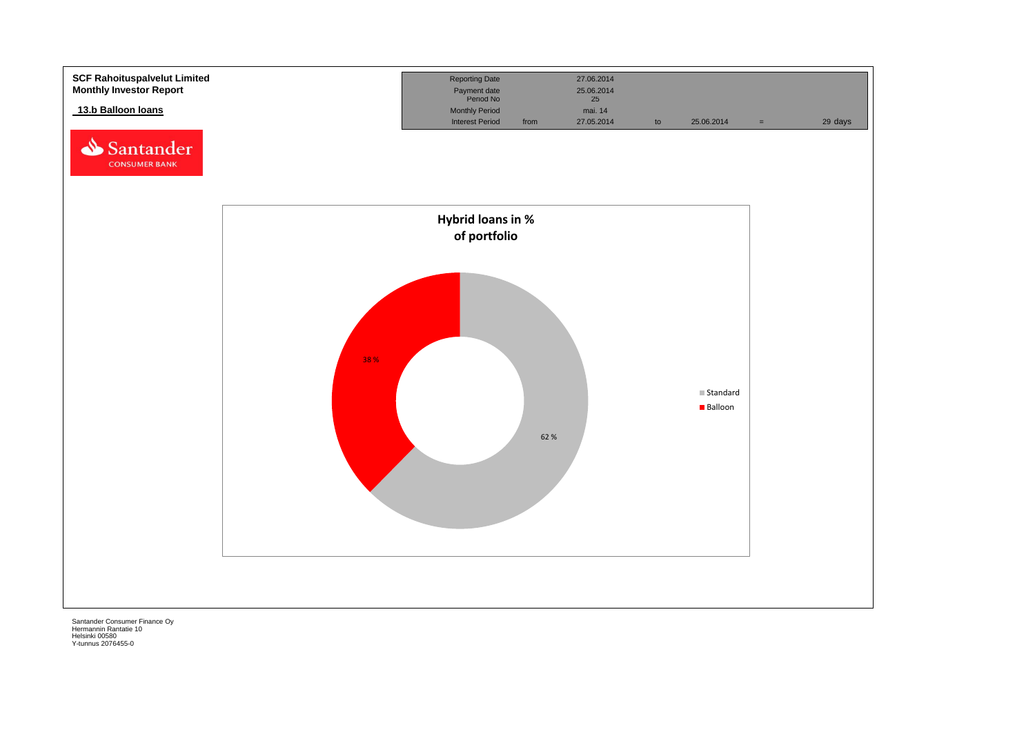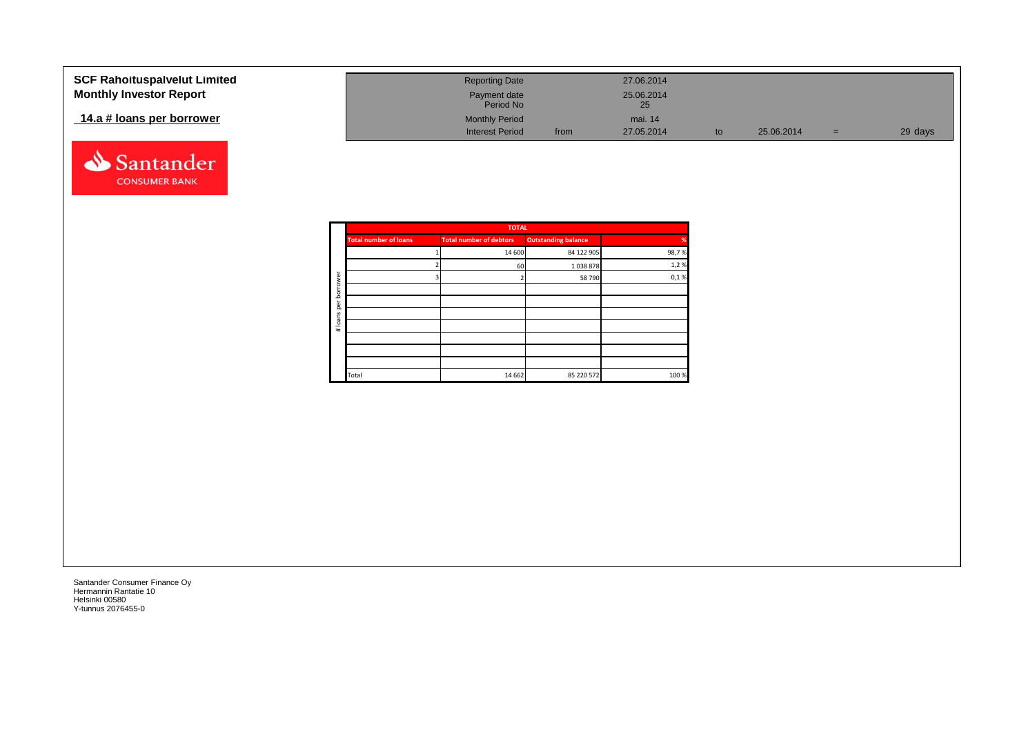| <b>SCF Rahoituspalvelut Limited</b> | <b>Reporting Date</b>     |      | 27.06.2014       |            |     |         |
|-------------------------------------|---------------------------|------|------------------|------------|-----|---------|
| <b>Monthly Investor Report</b>      | Payment date<br>Period No |      | 25.06.2014<br>25 |            |     |         |
| 14.a # loans per borrower           | <b>Monthly Period</b>     |      | mai. 14          |            |     |         |
|                                     | <b>Interest Period</b>    | from | 27.05.2014       | 25.06.2014 | $=$ | 29 days |



|          |                              | <b>TOTAL</b>                   |                            |               |
|----------|------------------------------|--------------------------------|----------------------------|---------------|
|          | <b>Total number of loans</b> | <b>Total number of debtors</b> | <b>Outstanding balance</b> | $\frac{9}{6}$ |
|          |                              | 14 600                         | 84 122 905                 | 98,7%         |
|          |                              | 60                             | 1038878                    | 1,2%          |
| ৯<br>row |                              |                                | 58 790                     | 0,1%          |
| bori     |                              |                                |                            |               |
| per      |                              |                                |                            |               |
|          |                              |                                |                            |               |
| # loans  |                              |                                |                            |               |
|          |                              |                                |                            |               |
|          |                              |                                |                            |               |
|          |                              |                                |                            |               |
|          | Total                        | 14 6 62                        | 85 220 572                 | 100 %         |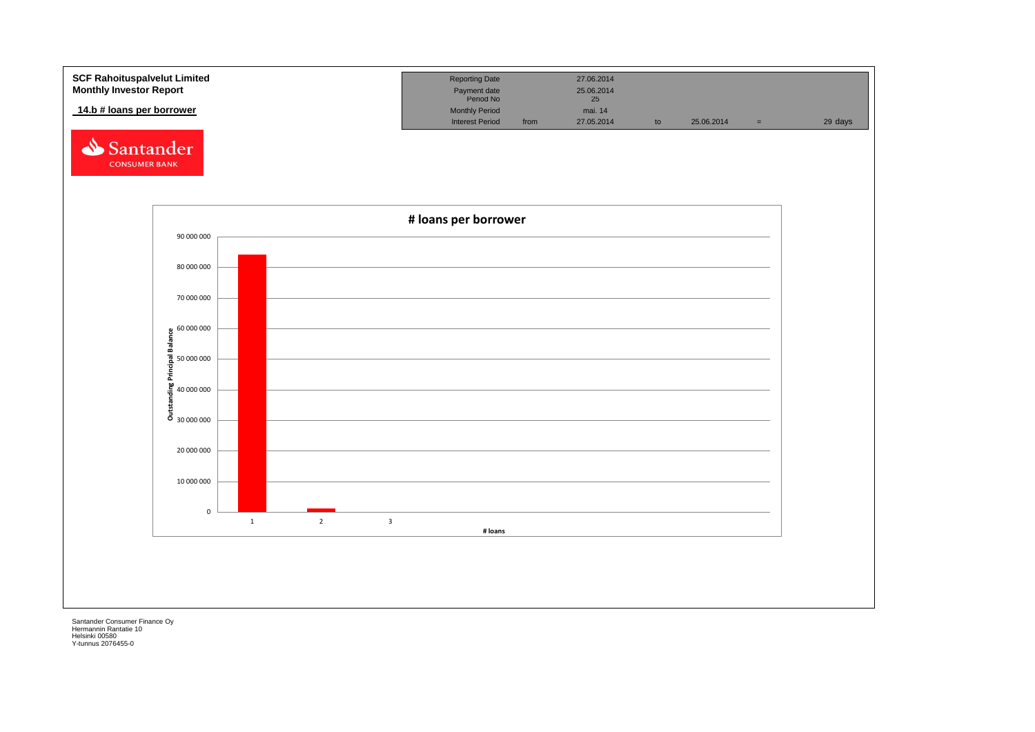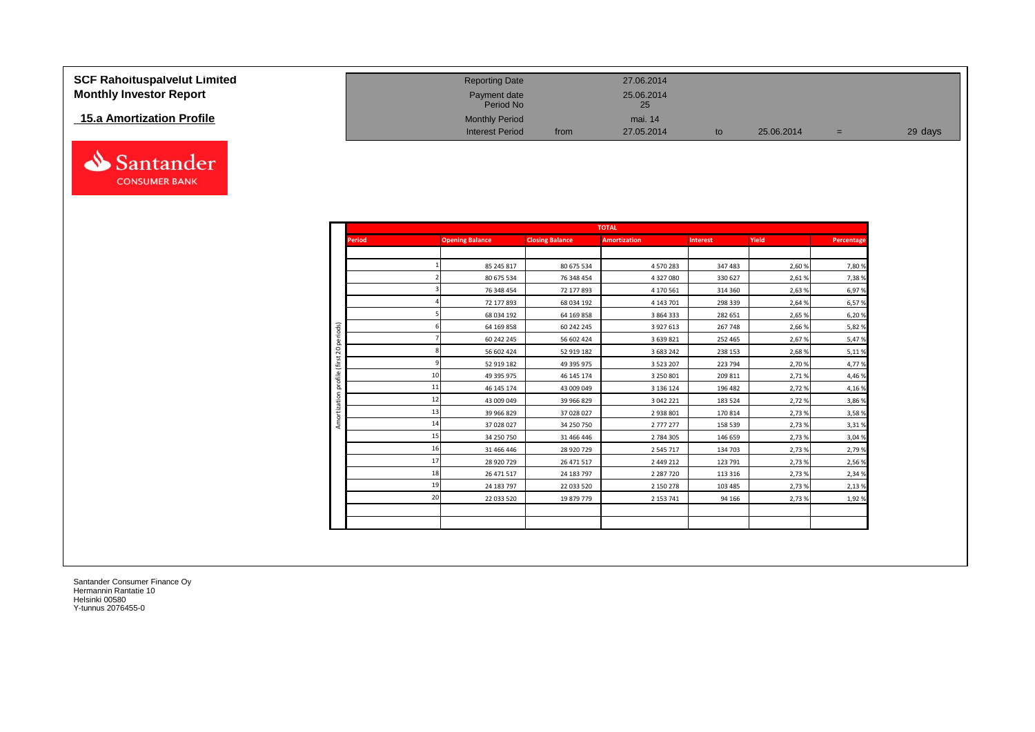| <b>SCF Rahoituspalvelut Limited</b> | <b>Reporting Date</b>     |      | 27.06.2014       |    |            |     |         |
|-------------------------------------|---------------------------|------|------------------|----|------------|-----|---------|
| <b>Monthly Investor Report</b>      | Payment date<br>Period No |      | 25.06.2014<br>25 |    |            |     |         |
| <b>15.a Amortization Profile</b>    | <b>Monthly Period</b>     |      | mai. 14          |    |            |     |         |
|                                     | <b>Interest Period</b>    | from | 27.05.2014       | to | 25.06.2014 | $=$ | 29 days |



Santander **CONSUMER BANK**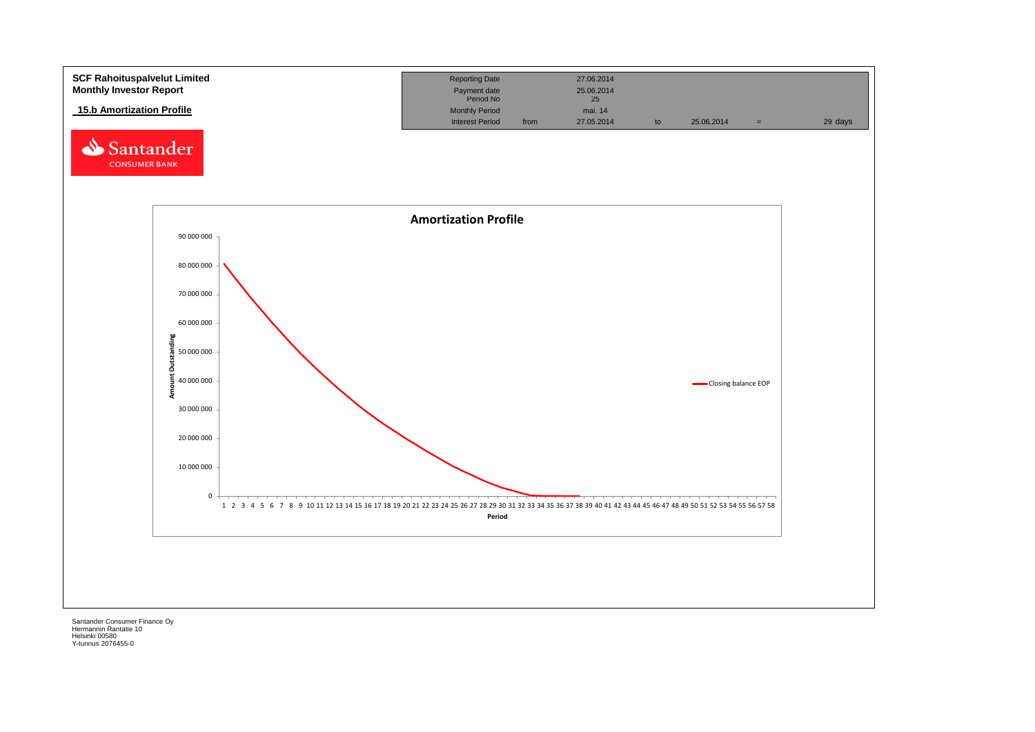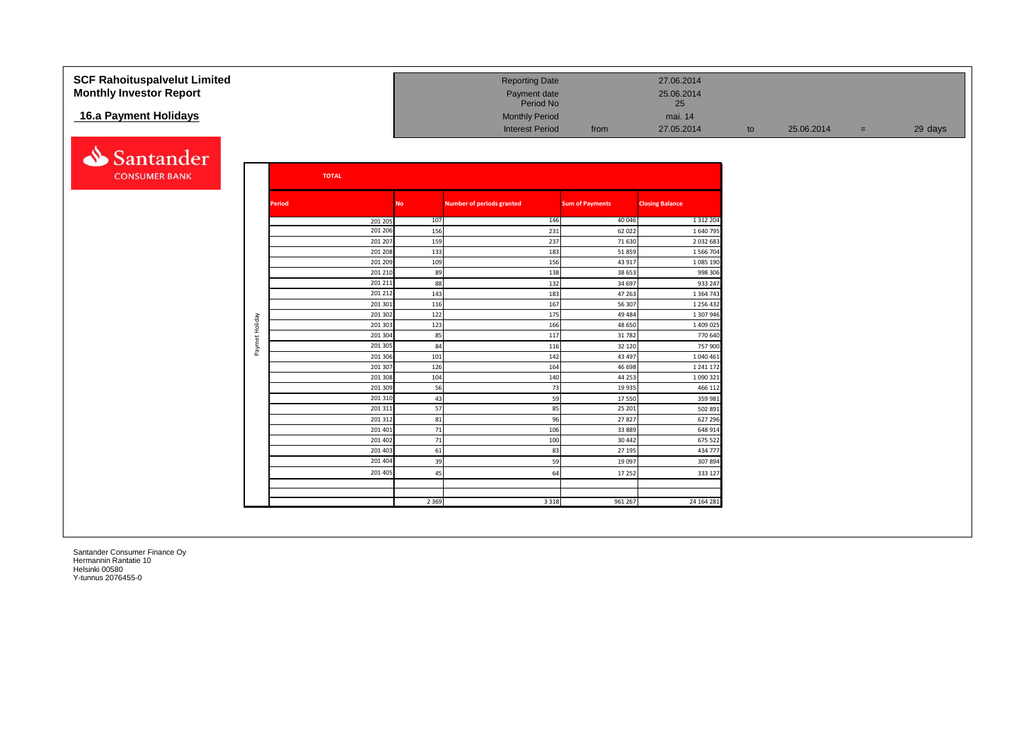| <b>SCF Rahoituspalvelut Limited</b><br><b>Monthly Investor Report</b> |                |               |              |                    |            | <b>Reporting Date</b><br>Payment date |                        | 27.06.2014<br>25.06.2014  |    |            |     |         |
|-----------------------------------------------------------------------|----------------|---------------|--------------|--------------------|------------|---------------------------------------|------------------------|---------------------------|----|------------|-----|---------|
|                                                                       |                |               |              |                    |            | Period No                             |                        | 25                        |    |            |     |         |
| 16.a Payment Holidays                                                 |                |               |              |                    |            | <b>Monthly Period</b>                 |                        | mai. 14                   |    |            |     |         |
|                                                                       |                |               |              |                    |            | <b>Interest Period</b>                | from                   | 27.05.2014                | to | 25.06.2014 | $=$ | 29 days |
|                                                                       |                |               |              |                    |            |                                       |                        |                           |    |            |     |         |
| Santander                                                             |                |               |              |                    |            |                                       |                        |                           |    |            |     |         |
| <b>CONSUMER BANK</b>                                                  |                |               | <b>TOTAL</b> |                    |            |                                       |                        |                           |    |            |     |         |
|                                                                       |                | <b>Period</b> |              |                    | <b>No</b>  | <b>Number of periods granted</b>      | <b>Sum of Payments</b> | <b>Closing Balance</b>    |    |            |     |         |
|                                                                       |                |               |              |                    |            |                                       |                        |                           |    |            |     |         |
|                                                                       |                |               |              | 201 205<br>201 206 | 107<br>156 | 146<br>231                            | 40 046                 | 1 3 1 2 2 0 4<br>1 640 79 |    |            |     |         |
|                                                                       |                |               |              | 201 207            | 159        | 237                                   | 62 022<br>71 630       | 2 0 3 2 6 8 3             |    |            |     |         |
|                                                                       |                |               |              | 201 208            | 133        | 183                                   | 51859                  | 1 566 704                 |    |            |     |         |
|                                                                       |                |               |              | 201 209            | 109        | 156                                   | 43 917                 | 1 085 190                 |    |            |     |         |
|                                                                       |                |               |              | 201 210            | 89         | 138                                   | 38 653                 | 998 306                   |    |            |     |         |
|                                                                       |                |               |              | 201 211            | 88         | 132                                   | 34 697                 | 933 247                   |    |            |     |         |
|                                                                       |                |               |              | 201 212            | 143        | 183                                   | 47 263                 | 1 3 6 4 7 4 3             |    |            |     |         |
|                                                                       |                |               |              | 201 301            | 116        | 167                                   | 56 307                 | 1 256 432                 |    |            |     |         |
|                                                                       |                |               |              | 201 302            | 122        | 175                                   | 49 4 84                | 1 307 946                 |    |            |     |         |
|                                                                       | Paymet Holiday |               |              | 201 303            | 123        | 166                                   | 48 650                 | 1 409 025                 |    |            |     |         |
|                                                                       |                |               |              | 201 304            | 85         | 117                                   | 31 782                 | 770 640                   |    |            |     |         |
|                                                                       |                |               |              | 201 305            | 84         | 116                                   | 32 120                 | 757 900                   |    |            |     |         |
|                                                                       |                |               |              | 201 306            | 101        | 142                                   | 43 497                 | 1 040 461                 |    |            |     |         |
|                                                                       |                |               |              | 201 307            | 126        | 164                                   | 46 698                 | 1 241 17                  |    |            |     |         |
|                                                                       |                |               |              | 201 308            | 104        | 140                                   | 44 253                 | 1 090 321                 |    |            |     |         |
|                                                                       |                |               |              | 201 309            | 56         | 73                                    | 19 9 35                | 466 112                   |    |            |     |         |
|                                                                       |                |               |              | 201 310            | 43         | 59                                    | 17 550                 | 359 981                   |    |            |     |         |
|                                                                       |                |               |              | 201 311            | 57         | 85                                    | 25 201                 | 502 891                   |    |            |     |         |
|                                                                       |                |               |              | 201 312            | 81         | 96                                    | 27827                  | 627 296                   |    |            |     |         |
|                                                                       |                |               |              | 201 401<br>201 402 | 71<br>71   | 106<br>100                            | 33 8 8 9<br>30 442     | 648 914<br>675 522        |    |            |     |         |
|                                                                       |                |               |              | 201 403            | 61         | 83                                    | 27 195                 | 434 777                   |    |            |     |         |
|                                                                       |                |               |              | 201 404            | 39         | 59                                    | 19 097                 | 307894                    |    |            |     |         |
|                                                                       |                |               |              | 201 405            |            |                                       |                        |                           |    |            |     |         |
|                                                                       |                |               |              |                    | 45         | 64                                    | 17 25 2                | 333 127                   |    |            |     |         |
|                                                                       |                |               |              |                    |            |                                       |                        |                           |    |            |     |         |
|                                                                       |                |               |              |                    | 2 3 6 9    | 3 3 1 8                               | 961 267                | 24 164 281                |    |            |     |         |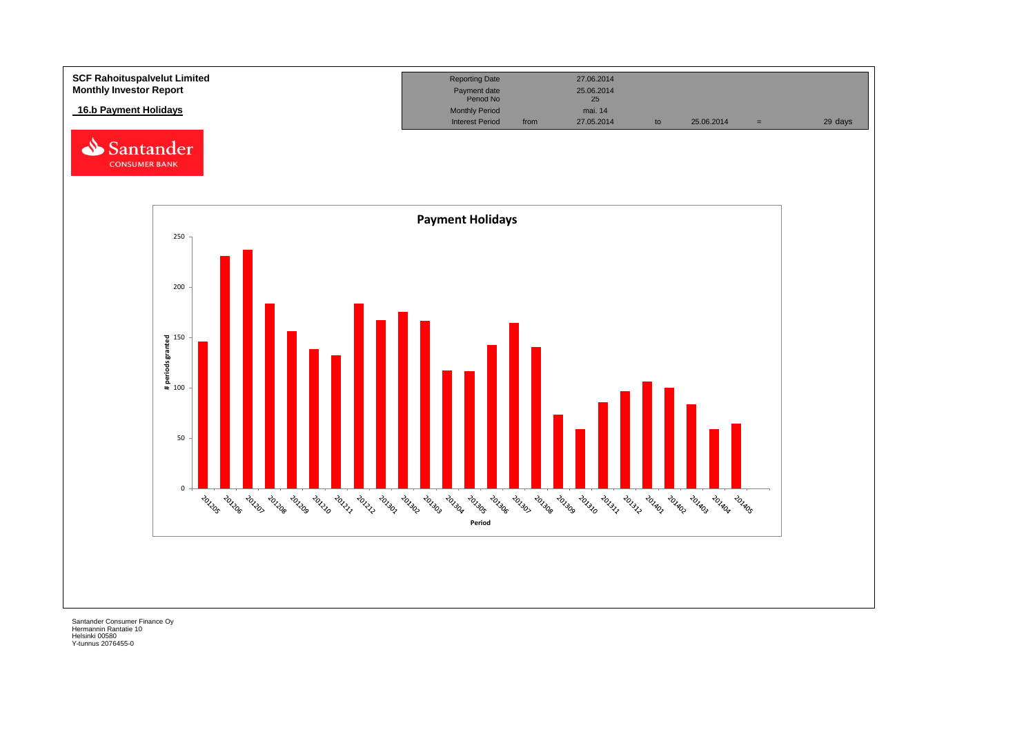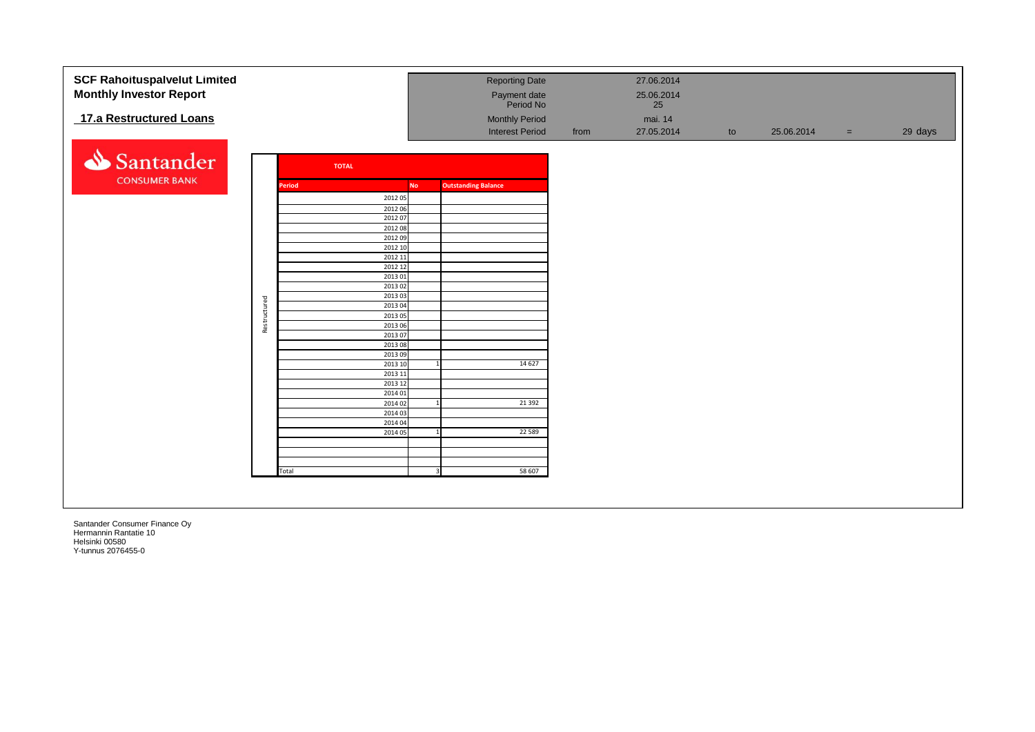| <b>SCF Rahoituspalvelut Limited</b> |              |        |              |                    |           |                            | <b>Reporting Date</b>     |      | 27.06.2014       |    |            |     |         |
|-------------------------------------|--------------|--------|--------------|--------------------|-----------|----------------------------|---------------------------|------|------------------|----|------------|-----|---------|
|                                     |              |        |              |                    |           |                            |                           |      |                  |    |            |     |         |
| <b>Monthly Investor Report</b>      |              |        |              |                    |           |                            | Payment date<br>Period No |      | 25.06.2014<br>25 |    |            |     |         |
|                                     |              |        |              |                    |           |                            |                           |      |                  |    |            |     |         |
| 17.a Restructured Loans             |              |        |              |                    |           |                            | <b>Monthly Period</b>     |      | mai. 14          |    |            |     |         |
|                                     |              |        |              |                    |           |                            | <b>Interest Period</b>    | from | 27.05.2014       | to | 25.06.2014 | $=$ | 29 days |
| Santander                           |              |        | <b>TOTAL</b> |                    |           |                            |                           |      |                  |    |            |     |         |
| <b>CONSUMER BANK</b>                |              | Period |              |                    | <b>No</b> | <b>Outstanding Balance</b> |                           |      |                  |    |            |     |         |
|                                     |              |        |              | 2012 05            |           |                            |                           |      |                  |    |            |     |         |
|                                     |              |        |              | 2012 06            |           |                            |                           |      |                  |    |            |     |         |
|                                     |              |        |              | 2012 07            |           |                            |                           |      |                  |    |            |     |         |
|                                     |              |        |              | 2012 08            |           |                            |                           |      |                  |    |            |     |         |
|                                     |              |        |              | 2012 09            |           |                            |                           |      |                  |    |            |     |         |
|                                     |              |        |              | 2012 10<br>2012 11 |           |                            |                           |      |                  |    |            |     |         |
|                                     |              |        |              | 2012 12            |           |                            |                           |      |                  |    |            |     |         |
|                                     |              |        |              | 2013 01            |           |                            |                           |      |                  |    |            |     |         |
|                                     |              |        |              | 2013 02            |           |                            |                           |      |                  |    |            |     |         |
|                                     |              |        |              | 2013 03            |           |                            |                           |      |                  |    |            |     |         |
|                                     |              |        |              | 2013 04            |           |                            |                           |      |                  |    |            |     |         |
|                                     | Restructured |        |              | 2013 05<br>2013 06 |           |                            |                           |      |                  |    |            |     |         |
|                                     |              |        |              | 2013 07            |           |                            |                           |      |                  |    |            |     |         |
|                                     |              |        |              | 2013 08            |           |                            |                           |      |                  |    |            |     |         |
|                                     |              |        |              | 201309             |           |                            |                           |      |                  |    |            |     |         |
|                                     |              |        |              | 2013 10            |           |                            | 14 6 27                   |      |                  |    |            |     |         |
|                                     |              |        |              | 2013 11            |           |                            |                           |      |                  |    |            |     |         |
|                                     |              |        |              | 2013 12<br>2014 01 |           |                            |                           |      |                  |    |            |     |         |
|                                     |              |        |              | 2014 02            |           |                            | 21 3 92                   |      |                  |    |            |     |         |
|                                     |              |        |              | 2014 03            |           |                            |                           |      |                  |    |            |     |         |
|                                     |              |        |              | 2014 04            |           |                            |                           |      |                  |    |            |     |         |
|                                     |              |        |              | 2014 05            |           |                            | 22 5 8 9                  |      |                  |    |            |     |         |
|                                     |              |        |              |                    |           |                            |                           |      |                  |    |            |     |         |
|                                     |              |        |              |                    |           |                            |                           |      |                  |    |            |     |         |
|                                     |              | Total  |              |                    |           |                            | 58 607                    |      |                  |    |            |     |         |
|                                     |              |        |              |                    |           |                            |                           |      |                  |    |            |     |         |
|                                     |              |        |              |                    |           |                            |                           |      |                  |    |            |     |         |
|                                     |              |        |              |                    |           |                            |                           |      |                  |    |            |     |         |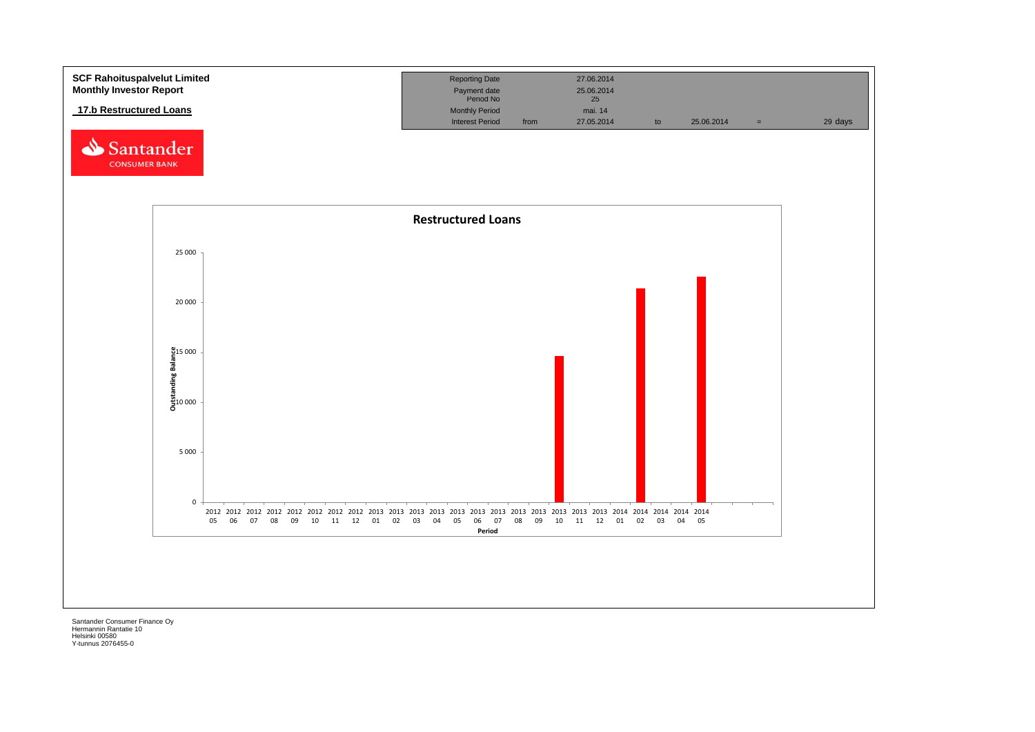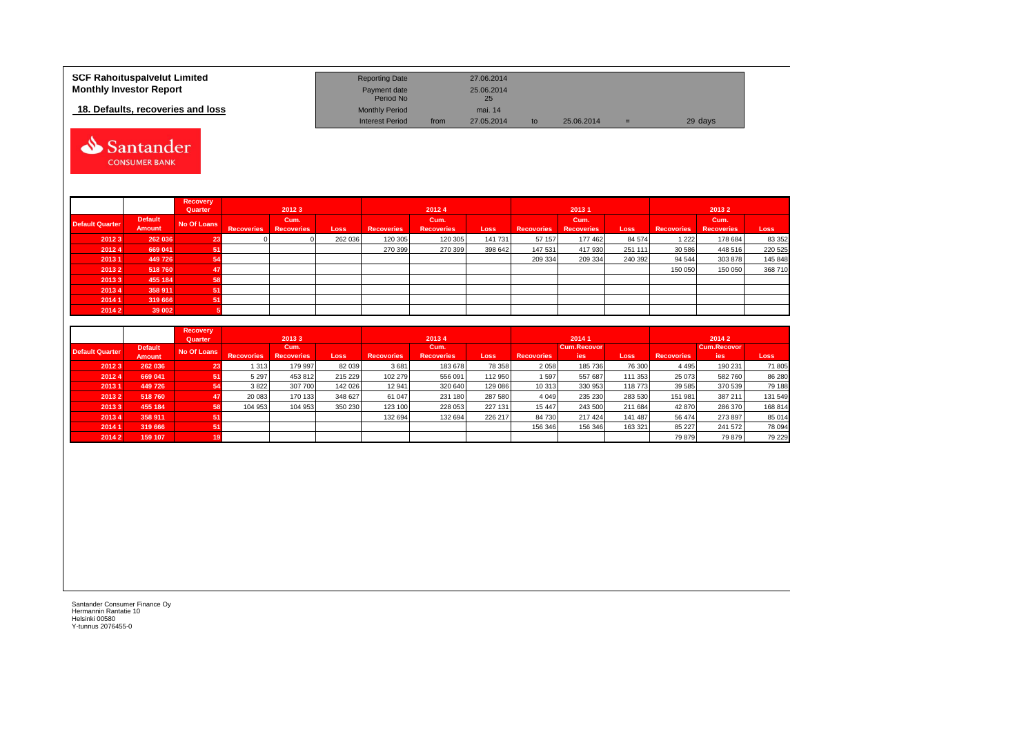| <b>SCF Rahoituspalvelut Limited</b> | <b>Reporting Date</b>     |      | 27.06.2014       |    |            |     |         |
|-------------------------------------|---------------------------|------|------------------|----|------------|-----|---------|
| <b>Monthly Investor Report</b>      | Payment date<br>Period No |      | 25.06.2014<br>25 |    |            |     |         |
| 18. Defaults, recoveries and loss   | <b>Monthly Period</b>     |      | mai. 14          |    |            |     |         |
|                                     | <b>Interest Period</b>    | from | 27.05.2014       | to | 25.06.2014 | $=$ | 29 days |



|                        |                                 | Recovery<br>Quarter | 20123             |                           |             |                   | 20124                     |         |                   | 20131                     |             | 20132             |                           |         |  |  |
|------------------------|---------------------------------|---------------------|-------------------|---------------------------|-------------|-------------------|---------------------------|---------|-------------------|---------------------------|-------------|-------------------|---------------------------|---------|--|--|
| <b>Default Quarter</b> | <b>Default</b><br><b>Amount</b> | No Of Loans         | <b>Recoveries</b> | Cum.<br><b>Recoveries</b> | <b>Loss</b> | <b>Recoveries</b> | Cum.<br><b>Recoveries</b> | Loss    | <b>Recovories</b> | Cum.<br><b>Recoveries</b> | <b>Loss</b> | <b>Recovories</b> | Cum.<br><b>Recoveries</b> | Loss    |  |  |
| 20123                  | 262 036                         | 23                  |                   |                           | 262 036     | 120 305           | 120 305                   | 141 731 | 57 157            | 177 462                   | 84 574      | 1 2 2 2           | 178 684                   | 83 352  |  |  |
| 20124                  | 669 041                         |                     |                   |                           |             | 270 399           | 270 399                   | 398 642 | 147 531           | 417 930                   | 251 111     | 30 586            | 448 516                   | 220 525 |  |  |
| 20131                  | 449 726                         |                     |                   |                           |             |                   |                           |         | 209 334           | 209 334                   | 240 392     | 94 544            | 303 878                   | 145 848 |  |  |
| 20132                  | 518760                          |                     |                   |                           |             |                   |                           |         |                   |                           |             | 150 050           | 150 050                   | 368 710 |  |  |
| 20133                  | 455 184                         | 58                  |                   |                           |             |                   |                           |         |                   |                           |             |                   |                           |         |  |  |
| 20134                  | 358 911                         |                     |                   |                           |             |                   |                           |         |                   |                           |             |                   |                           |         |  |  |
| 2014 1                 | 319 666                         |                     |                   |                           |             |                   |                           |         |                   |                           |             |                   |                           |         |  |  |
| 2014 2                 | 39 002                          |                     |                   |                           |             |                   |                           |         |                   |                           |             |                   |                           |         |  |  |

|                        |                | Recovery    |                   |                   |         |                   |                   |             |                   |                    |             |                   |             |         |  |  |
|------------------------|----------------|-------------|-------------------|-------------------|---------|-------------------|-------------------|-------------|-------------------|--------------------|-------------|-------------------|-------------|---------|--|--|
|                        |                | Quarter     |                   | 20133             |         |                   | 20134             |             |                   | 20141              |             |                   | 2014 2      |         |  |  |
| <b>Default Quarter</b> | <b>Default</b> | No Of Loans |                   | Cum.              |         |                   | Cum.              |             |                   | <b>Cum.Recovor</b> |             |                   | Cum.Recovor |         |  |  |
|                        | Amount         |             | <b>Recovories</b> | <b>Recoveries</b> | Loss    | <b>Recovories</b> | <b>Recoveries</b> | <b>Loss</b> | <b>Recovories</b> | ies                | <b>Loss</b> | <b>Recovories</b> | <b>jes</b>  | Loss    |  |  |
| 20123                  | 262 036        | 23          | 313               | 179 997           | 82 039  | 3681              | 183 678           | 78 358      | 2 0 5 8           | 185 736            | 76 300      | 4 4 9 5           | 190 231     | 71 805  |  |  |
| 20124                  | 669 041        | 51          | 5 2 9 7           | 453 812           | 215 229 | 102 279           | 556 091           | 112 950     | 1597              | 557 687            | 111 353     | 25 073            | 582 760     | 86 280  |  |  |
| 20131                  | 449 726        | 54          | 3822              | 307 700           | 142 026 | 12 941            | 320 640           | 129 086     | 10 313            | 330 953            | 118 773     | 39 585            | 370 539     | 79 188  |  |  |
| 20132                  | 518760         | 47          | 20 083            | 170 133           | 348 627 | 61 047            | 231 180           | 287 580     | 4 0 4 9           | 235 230            | 283 530     | 151 981           | 387 21      | 131 549 |  |  |
| 20133                  | 455 184        | 58          | 104 953           | 104 953           | 350 230 | 123 100           | 228 053           | 227 131     | 15 4 4 7          | 243 500            | 211 684     | 42 870            | 286 370     | 168 814 |  |  |
| 20134                  | 358 911        | 51          |                   |                   |         | 132 694           | 132 694           | 226 217     | 84 730            | 217 424            | 141 487     | 56 474            | 273 897     | 85 014  |  |  |
| 2014 1                 | 319 666        | 51          |                   |                   |         |                   |                   |             | 156 346           | 156 346            | 163 321     | 85 227            | 241 572     | 78 094  |  |  |
| 20142                  | 159 107        | 19          |                   |                   |         |                   |                   |             |                   |                    |             | 79 879            | 79 879      | 79 229  |  |  |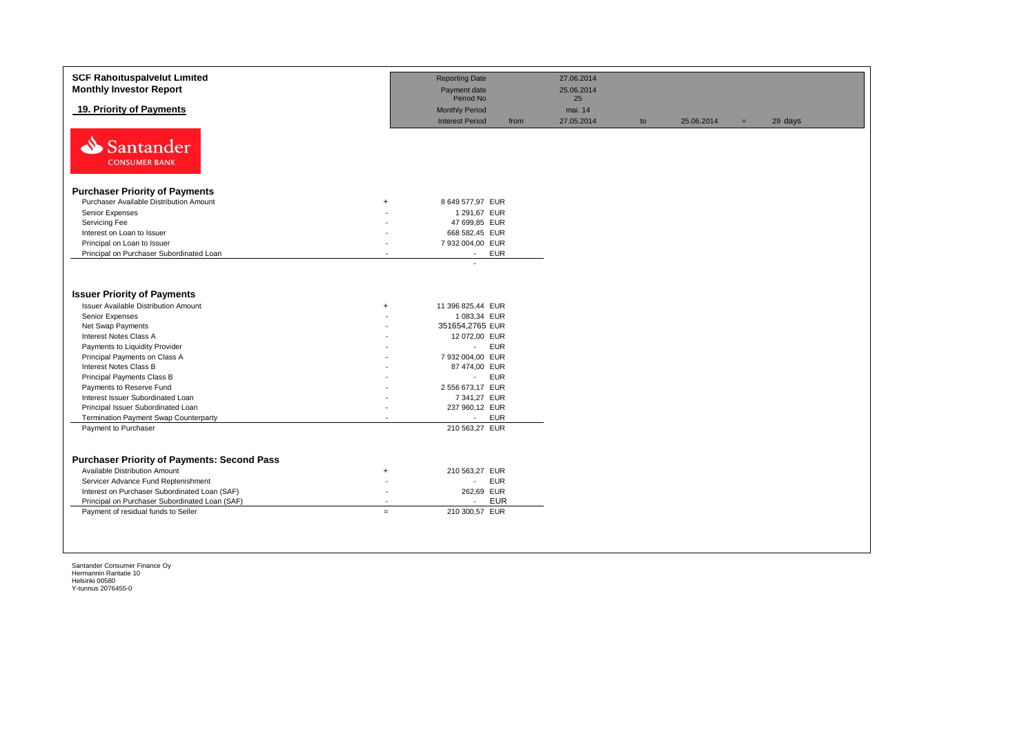| <b>SCF Rahoituspalvelut Limited</b><br><b>Monthly Investor Report</b>                                                                                                                                                                                                |                                                                         | <b>Reporting Date</b><br>Payment date<br>Period No                                                     | 27.06.2014<br>25.06.2014<br>25 |    |            |     |         |
|----------------------------------------------------------------------------------------------------------------------------------------------------------------------------------------------------------------------------------------------------------------------|-------------------------------------------------------------------------|--------------------------------------------------------------------------------------------------------|--------------------------------|----|------------|-----|---------|
| 19. Priority of Payments                                                                                                                                                                                                                                             |                                                                         | <b>Monthly Period</b><br><b>Interest Period</b><br>from                                                | mai. 14<br>27.05.2014          | to | 25.06.2014 | $=$ | 29 days |
| N<br><b>Santander</b><br><b>CONSUMER BANK</b>                                                                                                                                                                                                                        |                                                                         |                                                                                                        |                                |    |            |     |         |
| <b>Purchaser Priority of Payments</b>                                                                                                                                                                                                                                |                                                                         |                                                                                                        |                                |    |            |     |         |
| Purchaser Available Distribution Amount                                                                                                                                                                                                                              | $+$                                                                     | 8 649 577,97 EUR                                                                                       |                                |    |            |     |         |
| Senior Expenses                                                                                                                                                                                                                                                      |                                                                         | 1 291,67 EUR                                                                                           |                                |    |            |     |         |
| Servicing Fee                                                                                                                                                                                                                                                        |                                                                         | 47 699,85 EUR                                                                                          |                                |    |            |     |         |
| Interest on Loan to Issuer                                                                                                                                                                                                                                           |                                                                         | 668 582,45 EUR                                                                                         |                                |    |            |     |         |
| Principal on Loan to Issuer                                                                                                                                                                                                                                          |                                                                         | 7 932 004,00 EUR                                                                                       |                                |    |            |     |         |
| Principal on Purchaser Subordinated Loan                                                                                                                                                                                                                             | $\overline{a}$                                                          | <b>EUR</b><br>$\sim$                                                                                   |                                |    |            |     |         |
| <b>Issuer Priority of Payments</b><br><b>Issuer Available Distribution Amount</b><br>Senior Expenses<br>Net Swap Payments<br>Interest Notes Class A                                                                                                                  | $+$                                                                     | 11 396 825,44 EUR<br>1 083.34 EUR<br>351654,2765 EUR<br>12 072,00 EUR                                  |                                |    |            |     |         |
| Payments to Liquidity Provider<br>Principal Payments on Class A                                                                                                                                                                                                      |                                                                         | <b>EUR</b><br>$\mathcal{L}_{\mathcal{A}}$<br>7 932 004,00 EUR                                          |                                |    |            |     |         |
| <b>Interest Notes Class B</b>                                                                                                                                                                                                                                        |                                                                         | 87 474,00 EUR                                                                                          |                                |    |            |     |         |
| Principal Payments Class B                                                                                                                                                                                                                                           |                                                                         | <b>EUR</b><br>$\sim$                                                                                   |                                |    |            |     |         |
| Payments to Reserve Fund                                                                                                                                                                                                                                             |                                                                         | 2 556 673,17 EUR                                                                                       |                                |    |            |     |         |
| Interest Issuer Subordinated Loan                                                                                                                                                                                                                                    |                                                                         | 7 341,27 EUR                                                                                           |                                |    |            |     |         |
| Principal Issuer Subordinated Loan                                                                                                                                                                                                                                   |                                                                         | 237 960,12 EUR                                                                                         |                                |    |            |     |         |
| <b>Termination Payment Swap Counterparty</b>                                                                                                                                                                                                                         | $\overline{a}$                                                          | <b>EUR</b><br>$\sim$                                                                                   |                                |    |            |     |         |
| Payment to Purchaser                                                                                                                                                                                                                                                 |                                                                         | 210 563,27 EUR                                                                                         |                                |    |            |     |         |
| <b>Purchaser Priority of Payments: Second Pass</b><br>Available Distribution Amount<br>Servicer Advance Fund Replenishment<br>Interest on Purchaser Subordinated Loan (SAF)<br>Principal on Purchaser Subordinated Loan (SAF)<br>Payment of residual funds to Seller | $+$<br>$\overline{\phantom{a}}$<br>$\overline{\phantom{a}}$<br>$\equiv$ | 210 563,27 EUR<br><b>EUR</b><br>$\sim$<br>262,69 EUR<br><b>EUR</b><br>$\overline{a}$<br>210 300,57 EUR |                                |    |            |     |         |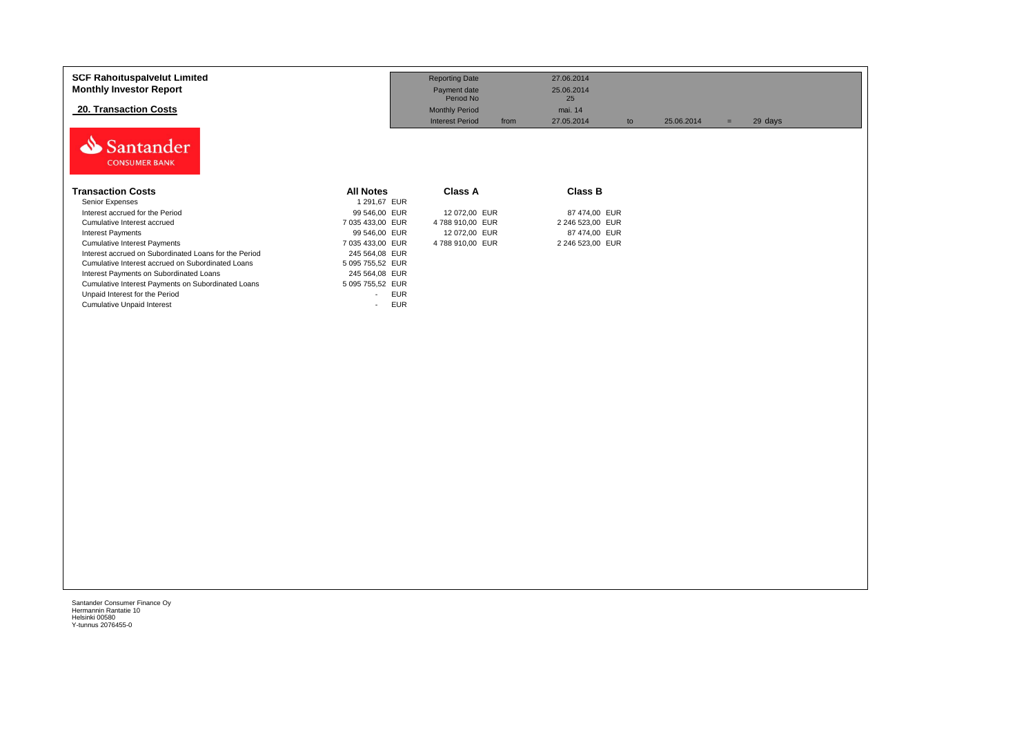| <b>SCF Rahoituspalvelut Limited</b><br><b>Monthly Investor Report</b> |                                        | <b>Reporting Date</b><br>Payment date                                | 27.06.2014<br>25.06.2014          |            |                |  |
|-----------------------------------------------------------------------|----------------------------------------|----------------------------------------------------------------------|-----------------------------------|------------|----------------|--|
| 20. Transaction Costs                                                 |                                        | Period No<br><b>Monthly Period</b><br><b>Interest Period</b><br>from | 25<br>mai. 14<br>27.05.2014<br>to | 25.06.2014 | 29 days<br>$=$ |  |
| Santander<br><b>CONSUMER BANK</b>                                     |                                        |                                                                      |                                   |            |                |  |
| <b>Transaction Costs</b>                                              | <b>All Notes</b>                       | <b>Class A</b>                                                       | <b>Class B</b>                    |            |                |  |
| Senior Expenses                                                       | 1 291,67 EUR                           |                                                                      |                                   |            |                |  |
| Interest accrued for the Period                                       | 99 546,00 EUR                          | 12 072,00 EUR                                                        | 87 474,00 EUR                     |            |                |  |
| Cumulative Interest accrued                                           | 7 035 433,00 EUR                       | 4 788 910,00 EUR                                                     | 2 246 523,00 EUR                  |            |                |  |
| Interest Payments                                                     | 99 546,00 EUR                          | 12 072,00 EUR                                                        | 87 474,00 EUR                     |            |                |  |
| <b>Cumulative Interest Payments</b>                                   | 7 035 433,00 EUR                       | 4 788 910,00 EUR                                                     | 2 246 523,00 EUR                  |            |                |  |
| Interest accrued on Subordinated Loans for the Period                 | 245 564,08 EUR                         |                                                                      |                                   |            |                |  |
| Cumulative Interest accrued on Subordinated Loans                     | 5 095 755,52 EUR                       |                                                                      |                                   |            |                |  |
| Interest Payments on Subordinated Loans                               | 245 564,08 EUR                         |                                                                      |                                   |            |                |  |
| Cumulative Interest Payments on Subordinated Loans                    | 5 095 755,52 EUR                       |                                                                      |                                   |            |                |  |
| Unpaid Interest for the Period                                        | <b>EUR</b><br>$\overline{\phantom{a}}$ |                                                                      |                                   |            |                |  |
| <b>Cumulative Unpaid Interest</b>                                     | <b>EUR</b><br>$\overline{\phantom{a}}$ |                                                                      |                                   |            |                |  |
|                                                                       |                                        |                                                                      |                                   |            |                |  |
|                                                                       |                                        |                                                                      |                                   |            |                |  |
|                                                                       |                                        |                                                                      |                                   |            |                |  |
|                                                                       |                                        |                                                                      |                                   |            |                |  |
|                                                                       |                                        |                                                                      |                                   |            |                |  |
|                                                                       |                                        |                                                                      |                                   |            |                |  |
|                                                                       |                                        |                                                                      |                                   |            |                |  |
|                                                                       |                                        |                                                                      |                                   |            |                |  |
|                                                                       |                                        |                                                                      |                                   |            |                |  |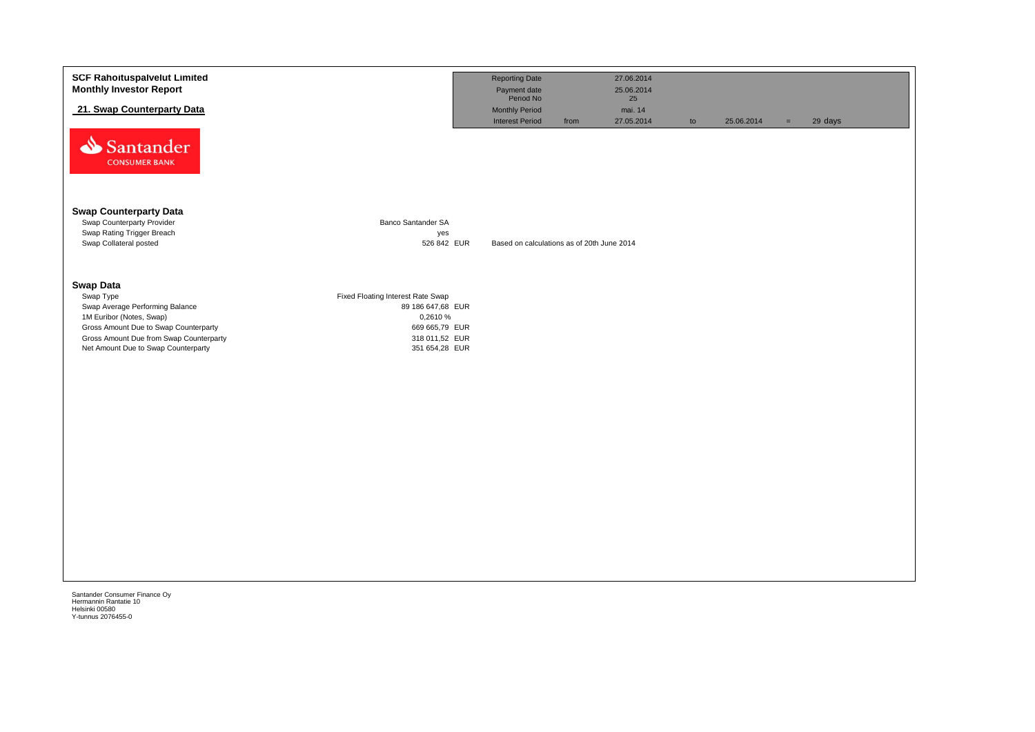| <b>SCF Rahoituspalvelut Limited</b><br><b>Monthly Investor Report</b>          |                                   | <b>Reporting Date</b><br>Payment date      |      | 27.06.2014<br>25.06.2014 |    |            |     |         |
|--------------------------------------------------------------------------------|-----------------------------------|--------------------------------------------|------|--------------------------|----|------------|-----|---------|
| 21. Swap Counterparty Data                                                     |                                   | Period No<br>Monthly Period                |      | 25<br>mai. 14            |    |            |     |         |
| Santander<br><b>CONSUMER BANK</b>                                              |                                   | <b>Interest Period</b>                     | from | 27.05.2014               | to | 25.06.2014 | $=$ | 29 days |
| <b>Swap Counterparty Data</b><br>Swap Counterparty Provider                    | <b>Banco Santander SA</b>         |                                            |      |                          |    |            |     |         |
| Swap Rating Trigger Breach<br>Swap Collateral posted                           | yes<br>526 842 EUR                | Based on calculations as of 20th June 2014 |      |                          |    |            |     |         |
| <b>Swap Data</b>                                                               |                                   |                                            |      |                          |    |            |     |         |
| Swap Type                                                                      | Fixed Floating Interest Rate Swap |                                            |      |                          |    |            |     |         |
| Swap Average Performing Balance<br>1M Euribor (Notes, Swap)                    | 89 186 647,68 EUR<br>0,2610 %     |                                            |      |                          |    |            |     |         |
| Gross Amount Due to Swap Counterparty                                          | 669 665,79 EUR                    |                                            |      |                          |    |            |     |         |
| Gross Amount Due from Swap Counterparty<br>Net Amount Due to Swap Counterparty | 318 011,52 EUR<br>351 654,28 EUR  |                                            |      |                          |    |            |     |         |
|                                                                                |                                   |                                            |      |                          |    |            |     |         |
|                                                                                |                                   |                                            |      |                          |    |            |     |         |
|                                                                                |                                   |                                            |      |                          |    |            |     |         |
|                                                                                |                                   |                                            |      |                          |    |            |     |         |
|                                                                                |                                   |                                            |      |                          |    |            |     |         |
|                                                                                |                                   |                                            |      |                          |    |            |     |         |
|                                                                                |                                   |                                            |      |                          |    |            |     |         |
|                                                                                |                                   |                                            |      |                          |    |            |     |         |
|                                                                                |                                   |                                            |      |                          |    |            |     |         |
|                                                                                |                                   |                                            |      |                          |    |            |     |         |
|                                                                                |                                   |                                            |      |                          |    |            |     |         |
|                                                                                |                                   |                                            |      |                          |    |            |     |         |
|                                                                                |                                   |                                            |      |                          |    |            |     |         |
|                                                                                |                                   |                                            |      |                          |    |            |     |         |
|                                                                                |                                   |                                            |      |                          |    |            |     |         |

Helsinki 00580 Y-tunnus 2076455-0